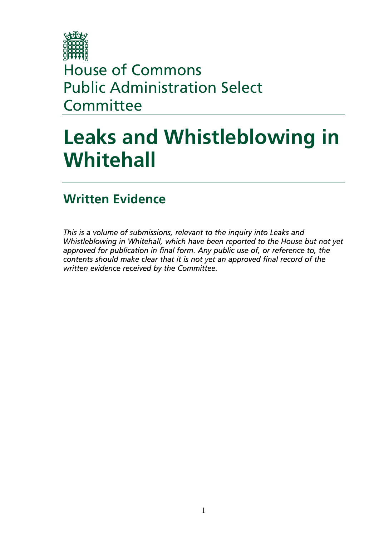

House of Commons Public Administration Select **Committee** 

# **Leaks and Whistleblowing in Whitehall**

# **Written Evidence**

*This is a volume of submissions, relevant to the inquiry into Leaks and Whistleblowing in Whitehall, which have been reported to the House but not yet approved for publication in final form. Any public use of, or reference to, the contents should make clear that it is not yet an approved final record of the written evidence received by the Committee.*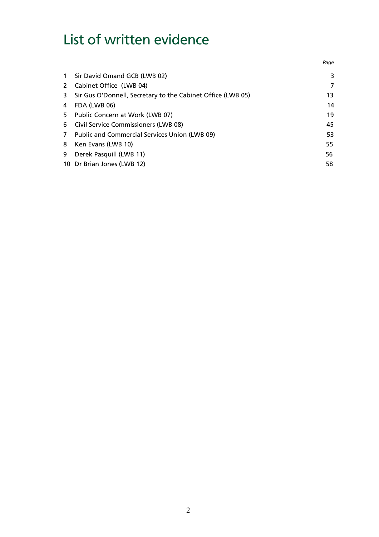# List of written evidence

|              |                                                             | Page |
|--------------|-------------------------------------------------------------|------|
| $\mathbf{1}$ | Sir David Omand GCB (LWB 02)                                | 3    |
| 2            | Cabinet Office (LWB 04)                                     | 7    |
| 3            | Sir Gus O'Donnell, Secretary to the Cabinet Office (LWB 05) | 13   |
| 4            | FDA (LWB 06)                                                | 14   |
| 5            | Public Concern at Work (LWB 07)                             | 19   |
| 6            | <b>Civil Service Commissioners (LWB 08)</b>                 | 45   |
| 7            | Public and Commercial Services Union (LWB 09)               | 53   |
| 8            | Ken Evans (LWB 10)                                          | 55   |
| 9            | Derek Pasquill (LWB 11)                                     | 56   |
|              | 10 Dr Brian Jones (LWB 12)                                  | 58   |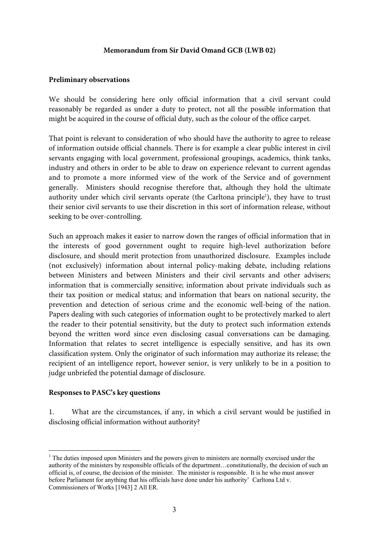#### **Memorandum from Sir David Omand GCB (LWB 02)**

#### **Preliminary observations**

We should be considering here only official information that a civil servant could reasonably be regarded as under a duty to protect, not all the possible information that might be acquired in the course of official duty, such as the colour of the office carpet.

That point is relevant to consideration of who should have the authority to agree to release of information outside official channels. There is for example a clear public interest in civil servants engaging with local government, professional groupings, academics, think tanks, industry and others in order to be able to draw on experience relevant to current agendas and to promote a more informed view of the work of the Service and of government generally. Ministers should recognise therefore that, although they hold the ultimate authority under which civil servants operate (the Carltona principle<sup>1</sup>), they have to trust their senior civil servants to use their discretion in this sort of information release, without seeking to be over-controlling.

Such an approach makes it easier to narrow down the ranges of official information that in the interests of good government ought to require high-level authorization before disclosure, and should merit protection from unauthorized disclosure. Examples include (not exclusively) information about internal policy-making debate, including relations between Ministers and between Ministers and their civil servants and other advisers; information that is commercially sensitive; information about private individuals such as their tax position or medical status; and information that bears on national security, the prevention and detection of serious crime and the economic well-being of the nation. Papers dealing with such categories of information ought to be protectively marked to alert the reader to their potential sensitivity, but the duty to protect such information extends beyond the written word since even disclosing casual conversations can be damaging. Information that relates to secret intelligence is especially sensitive, and has its own classification system. Only the originator of such information may authorize its release; the recipient of an intelligence report, however senior, is very unlikely to be in a position to judge unbriefed the potential damage of disclosure.

#### **Responses to PASC's key questions**

1. What are the circumstances, if any, in which a civil servant would be justified in disclosing official information without authority?

 $\overline{a}$ <sup>1</sup> The duties imposed upon Ministers and the powers given to ministers are normally exercised under the authority of the ministers by responsible officials of the department…constitutionally, the decision of such an official is, of course, the decision of the minister. The minister is responsible. It is he who must answer before Parliament for anything that his officials have done under his authority' Carltona Ltd v. Commissioners of Works [1943] 2 All ER.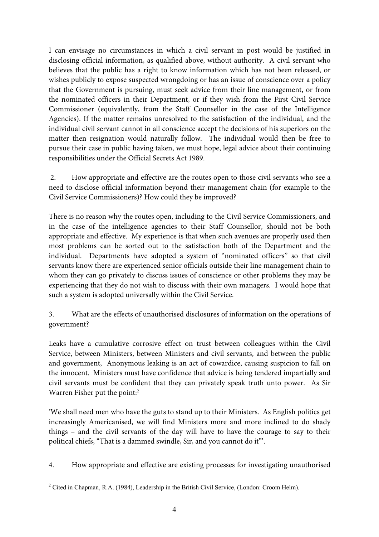I can envisage no circumstances in which a civil servant in post would be justified in disclosing official information, as qualified above, without authority. A civil servant who believes that the public has a right to know information which has not been released, or wishes publicly to expose suspected wrongdoing or has an issue of conscience over a policy that the Government is pursuing, must seek advice from their line management, or from the nominated officers in their Department, or if they wish from the First Civil Service Commissioner (equivalently, from the Staff Counsellor in the case of the Intelligence Agencies). If the matter remains unresolved to the satisfaction of the individual, and the individual civil servant cannot in all conscience accept the decisions of his superiors on the matter then resignation would naturally follow. The individual would then be free to pursue their case in public having taken, we must hope, legal advice about their continuing responsibilities under the Official Secrets Act 1989.

 2. How appropriate and effective are the routes open to those civil servants who see a need to disclose official information beyond their management chain (for example to the Civil Service Commissioners)? How could they be improved?

There is no reason why the routes open, including to the Civil Service Commissioners, and in the case of the intelligence agencies to their Staff Counsellor, should not be both appropriate and effective. My experience is that when such avenues are properly used then most problems can be sorted out to the satisfaction both of the Department and the individual. Departments have adopted a system of "nominated officers" so that civil servants know there are experienced senior officials outside their line management chain to whom they can go privately to discuss issues of conscience or other problems they may be experiencing that they do not wish to discuss with their own managers. I would hope that such a system is adopted universally within the Civil Service.

3. What are the effects of unauthorised disclosures of information on the operations of government?

Leaks have a cumulative corrosive effect on trust between colleagues within the Civil Service, between Ministers, between Ministers and civil servants, and between the public and government, Anonymous leaking is an act of cowardice, causing suspicion to fall on the innocent. Ministers must have confidence that advice is being tendered impartially and civil servants must be confident that they can privately speak truth unto power. As Sir Warren Fisher put the point:<sup>2</sup>

'We shall need men who have the guts to stand up to their Ministers. As English politics get increasingly Americanised, we will find Ministers more and more inclined to do shady things – and the civil servants of the day will have to have the courage to say to their political chiefs, "That is a dammed swindle, Sir, and you cannot do it"'.

4. How appropriate and effective are existing processes for investigating unauthorised

 $\overline{a}$ <sup>2</sup> Cited in Chapman, R.A. (1984), Leadership in the British Civil Service, (London: Croom Helm).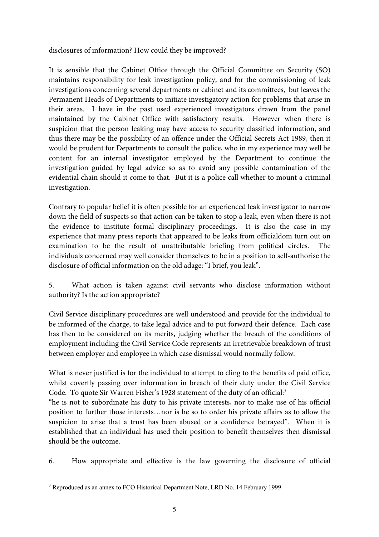disclosures of information? How could they be improved?

It is sensible that the Cabinet Office through the Official Committee on Security (SO) maintains responsibility for leak investigation policy, and for the commissioning of leak investigations concerning several departments or cabinet and its committees, but leaves the Permanent Heads of Departments to initiate investigatory action for problems that arise in their areas. I have in the past used experienced investigators drawn from the panel maintained by the Cabinet Office with satisfactory results. However when there is suspicion that the person leaking may have access to security classified information, and thus there may be the possibility of an offence under the Official Secrets Act 1989, then it would be prudent for Departments to consult the police, who in my experience may well be content for an internal investigator employed by the Department to continue the investigation guided by legal advice so as to avoid any possible contamination of the evidential chain should it come to that. But it is a police call whether to mount a criminal investigation.

Contrary to popular belief it is often possible for an experienced leak investigator to narrow down the field of suspects so that action can be taken to stop a leak, even when there is not the evidence to institute formal disciplinary proceedings. It is also the case in my experience that many press reports that appeared to be leaks from officialdom turn out on examination to be the result of unattributable briefing from political circles. The individuals concerned may well consider themselves to be in a position to self-authorise the disclosure of official information on the old adage: "I brief, you leak".

5. What action is taken against civil servants who disclose information without authority? Is the action appropriate?

Civil Service disciplinary procedures are well understood and provide for the individual to be informed of the charge, to take legal advice and to put forward their defence. Each case has then to be considered on its merits, judging whether the breach of the conditions of employment including the Civil Service Code represents an irretrievable breakdown of trust between employer and employee in which case dismissal would normally follow.

What is never justified is for the individual to attempt to cling to the benefits of paid office, whilst covertly passing over information in breach of their duty under the Civil Service Code. To quote Sir Warren Fisher's 1928 statement of the duty of an official:<sup>3</sup>

"he is not to subordinate his duty to his private interests, nor to make use of his official position to further those interests…nor is he so to order his private affairs as to allow the suspicion to arise that a trust has been abused or a confidence betrayed". When it is established that an individual has used their position to benefit themselves then dismissal should be the outcome.

6. How appropriate and effective is the law governing the disclosure of official

 $\overline{a}$ <sup>3</sup> Reproduced as an annex to FCO Historical Department Note, LRD No. 14 February 1999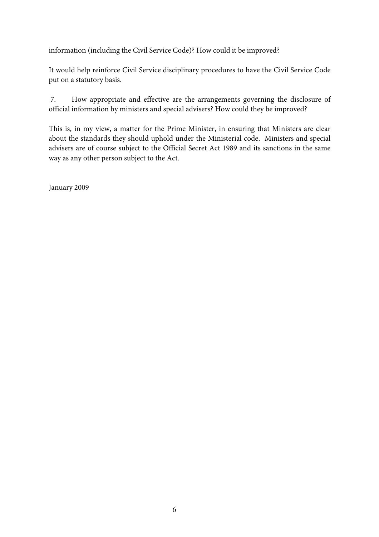information (including the Civil Service Code)? How could it be improved?

It would help reinforce Civil Service disciplinary procedures to have the Civil Service Code put on a statutory basis.

 7. How appropriate and effective are the arrangements governing the disclosure of official information by ministers and special advisers? How could they be improved?

This is, in my view, a matter for the Prime Minister, in ensuring that Ministers are clear about the standards they should uphold under the Ministerial code. Ministers and special advisers are of course subject to the Official Secret Act 1989 and its sanctions in the same way as any other person subject to the Act.

January 2009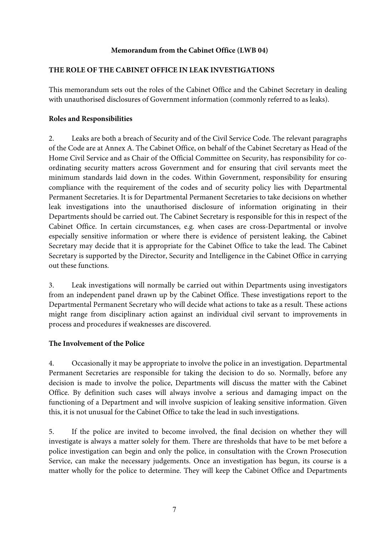# **Memorandum from the Cabinet Office (LWB 04)**

# **THE ROLE OF THE CABINET OFFICE IN LEAK INVESTIGATIONS**

This memorandum sets out the roles of the Cabinet Office and the Cabinet Secretary in dealing with unauthorised disclosures of Government information (commonly referred to as leaks).

# **Roles and Responsibilities**

2. Leaks are both a breach of Security and of the Civil Service Code. The relevant paragraphs of the Code are at Annex A. The Cabinet Office, on behalf of the Cabinet Secretary as Head of the Home Civil Service and as Chair of the Official Committee on Security, has responsibility for coordinating security matters across Government and for ensuring that civil servants meet the minimum standards laid down in the codes. Within Government, responsibility for ensuring compliance with the requirement of the codes and of security policy lies with Departmental Permanent Secretaries. It is for Departmental Permanent Secretaries to take decisions on whether leak investigations into the unauthorised disclosure of information originating in their Departments should be carried out. The Cabinet Secretary is responsible for this in respect of the Cabinet Office. In certain circumstances, e.g. when cases are cross-Departmental or involve especially sensitive information or where there is evidence of persistent leaking, the Cabinet Secretary may decide that it is appropriate for the Cabinet Office to take the lead. The Cabinet Secretary is supported by the Director, Security and Intelligence in the Cabinet Office in carrying out these functions.

3. Leak investigations will normally be carried out within Departments using investigators from an independent panel drawn up by the Cabinet Office. These investigations report to the Departmental Permanent Secretary who will decide what actions to take as a result. These actions might range from disciplinary action against an individual civil servant to improvements in process and procedures if weaknesses are discovered.

### **The Involvement of the Police**

4. Occasionally it may be appropriate to involve the police in an investigation. Departmental Permanent Secretaries are responsible for taking the decision to do so. Normally, before any decision is made to involve the police, Departments will discuss the matter with the Cabinet Office. By definition such cases will always involve a serious and damaging impact on the functioning of a Department and will involve suspicion of leaking sensitive information. Given this, it is not unusual for the Cabinet Office to take the lead in such investigations.

5. If the police are invited to become involved, the final decision on whether they will investigate is always a matter solely for them. There are thresholds that have to be met before a police investigation can begin and only the police, in consultation with the Crown Prosecution Service, can make the necessary judgements. Once an investigation has begun, its course is a matter wholly for the police to determine. They will keep the Cabinet Office and Departments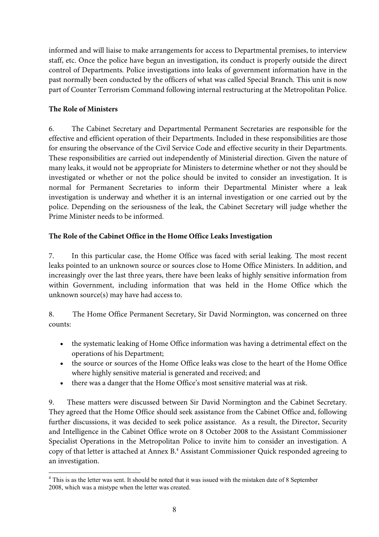informed and will liaise to make arrangements for access to Departmental premises, to interview staff, etc. Once the police have begun an investigation, its conduct is properly outside the direct control of Departments. Police investigations into leaks of government information have in the past normally been conducted by the officers of what was called Special Branch. This unit is now part of Counter Terrorism Command following internal restructuring at the Metropolitan Police.

# **The Role of Ministers**

6. The Cabinet Secretary and Departmental Permanent Secretaries are responsible for the effective and efficient operation of their Departments. Included in these responsibilities are those for ensuring the observance of the Civil Service Code and effective security in their Departments. These responsibilities are carried out independently of Ministerial direction. Given the nature of many leaks, it would not be appropriate for Ministers to determine whether or not they should be investigated or whether or not the police should be invited to consider an investigation. It is normal for Permanent Secretaries to inform their Departmental Minister where a leak investigation is underway and whether it is an internal investigation or one carried out by the police. Depending on the seriousness of the leak, the Cabinet Secretary will judge whether the Prime Minister needs to be informed.

# **The Role of the Cabinet Office in the Home Office Leaks Investigation**

7. In this particular case, the Home Office was faced with serial leaking. The most recent leaks pointed to an unknown source or sources close to Home Office Ministers. In addition, and increasingly over the last three years, there have been leaks of highly sensitive information from within Government, including information that was held in the Home Office which the unknown source(s) may have had access to.

8. The Home Office Permanent Secretary, Sir David Normington, was concerned on three counts:

- the systematic leaking of Home Office information was having a detrimental effect on the operations of his Department;
- the source or sources of the Home Office leaks was close to the heart of the Home Office where highly sensitive material is generated and received; and
- there was a danger that the Home Office's most sensitive material was at risk.

9. These matters were discussed between Sir David Normington and the Cabinet Secretary. They agreed that the Home Office should seek assistance from the Cabinet Office and, following further discussions, it was decided to seek police assistance. As a result, the Director, Security and Intelligence in the Cabinet Office wrote on 8 October 2008 to the Assistant Commissioner Specialist Operations in the Metropolitan Police to invite him to consider an investigation. A copy of that letter is attached at Annex B.4 Assistant Commissioner Quick responded agreeing to an investigation.

 $\overline{a}$ <sup>4</sup> This is as the letter was sent. It should be noted that it was issued with the mistaken date of 8 September 2008, which was a mistype when the letter was created.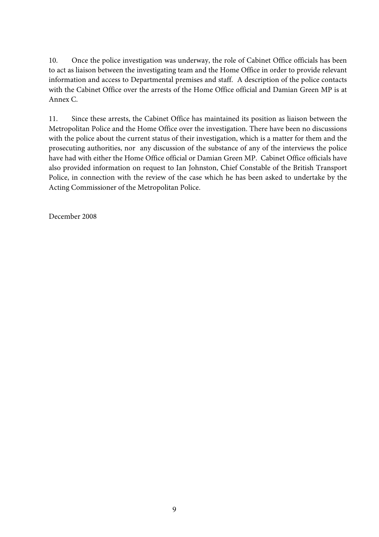10. Once the police investigation was underway, the role of Cabinet Office officials has been to act as liaison between the investigating team and the Home Office in order to provide relevant information and access to Departmental premises and staff. A description of the police contacts with the Cabinet Office over the arrests of the Home Office official and Damian Green MP is at Annex C.

11. Since these arrests, the Cabinet Office has maintained its position as liaison between the Metropolitan Police and the Home Office over the investigation. There have been no discussions with the police about the current status of their investigation, which is a matter for them and the prosecuting authorities, nor any discussion of the substance of any of the interviews the police have had with either the Home Office official or Damian Green MP. Cabinet Office officials have also provided information on request to Ian Johnston, Chief Constable of the British Transport Police, in connection with the review of the case which he has been asked to undertake by the Acting Commissioner of the Metropolitan Police.

December 2008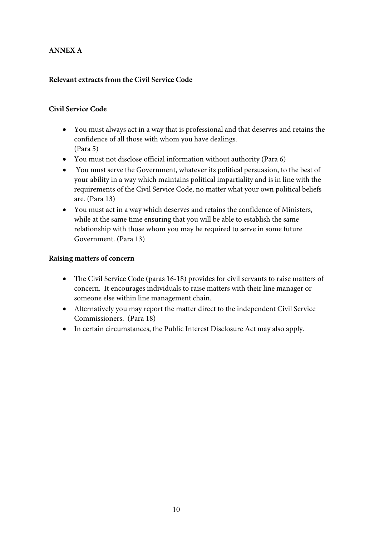# **ANNEX A**

# **Relevant extracts from the Civil Service Code**

### **Civil Service Code**

- You must always act in a way that is professional and that deserves and retains the confidence of all those with whom you have dealings. (Para 5)
- You must not disclose official information without authority (Para 6)
- You must serve the Government, whatever its political persuasion, to the best of your ability in a way which maintains political impartiality and is in line with the requirements of the Civil Service Code, no matter what your own political beliefs are. (Para 13)
- You must act in a way which deserves and retains the confidence of Ministers, while at the same time ensuring that you will be able to establish the same relationship with those whom you may be required to serve in some future Government. (Para 13)

#### **Raising matters of concern**

- The Civil Service Code (paras 16-18) provides for civil servants to raise matters of concern. It encourages individuals to raise matters with their line manager or someone else within line management chain.
- Alternatively you may report the matter direct to the independent Civil Service Commissioners. (Para 18)
- In certain circumstances, the Public Interest Disclosure Act may also apply.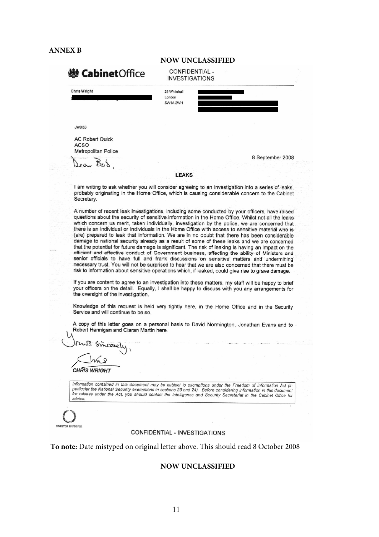#### **ANNEX B**

|                                                              | NUW UNCLASSIFIED                        |  |                  |
|--------------------------------------------------------------|-----------------------------------------|--|------------------|
| <b>※ Cabinet</b> Office                                      | CONFIDENTIAL -<br><b>INVESTIGATIONS</b> |  |                  |
| <b>Chris Wright</b>                                          | 26 Whitehall<br>London<br>SW1A 2WH      |  |                  |
| Jw053                                                        |                                         |  |                  |
| <b>AC Robert Quick</b><br><b>ACSO</b><br>Metropolitan Police |                                         |  |                  |
| $\sim$                                                       |                                         |  | 8 September 2008 |

**NOW UNCLASSIFIED** 

#### **I FAKS**

I am writing to ask whether you will consider agreeing to an investigation into a series of leaks, probably originating in the Home Office, which is causing considerable concern to the Cabinet Secretary.

A number of recent leak investigations, including some conducted by your officers, have raised questions about the security of sensitive information in the Home Office. Whilst not all the leaks which concern us merit, taken individually, investigation by the police, we are concerned that there is an individual or individuals in the Home Office with access to sensitive material who is (are) prepared to leak that information. We are in no doubt that there has been considerable damage to national security already as a result of some of these leaks and we are concerned that the potential for future damage is significant. The risk of leaking is having an impact on the efficient and effective conduct of Government business, affecting the ability of Ministers and senior officials to have full and frank discussions on sensitive matters and undermining necessary trust. You will not be surprised to hear that we are also concerned that there must be risk to information about sensitive operations which, if leaked, could give rise to grave damage.

If you are content to agree to an investigation into these matters, my staff will be happy to brief your officers on the detail. Equally, I shall be happy to discuss with you any arrangements for the oversight of the investigation.

Knowledge of this request is held very tightly here, in the Home Office and in the Security Service and will continue to be so.

A copy of this letter goes on a personal basis to David Normington, Jonathan Evans and to Robert Hannigan and Ciaran Martin here.

**CHRIS WRIGHT** 

Information contained in this document may be subject to exemptions under the Freedom of Information Act (in particular the National Security exemptions in sections 23 and 24). Before considering information in this document for release under the Act, you should contact the Intelligence and Security Secretariat in the Cabinet Office for advice.

#### **CONFIDENTIAL - INVESTIGATIONS**

**To note:** Date mistyped on original letter above. This should read 8 October 2008

#### **NOW UNCLASSIFIED**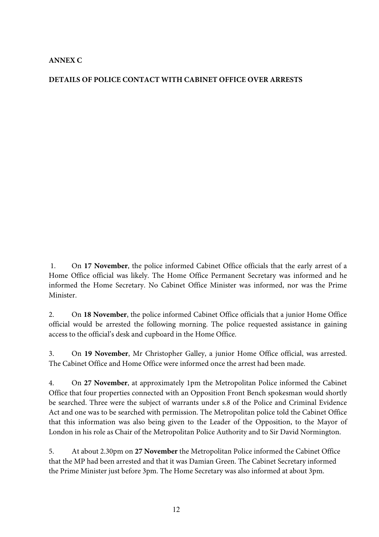# **ANNEX C**

# **DETAILS OF POLICE CONTACT WITH CABINET OFFICE OVER ARRESTS**

1. On **17 November**, the police informed Cabinet Office officials that the early arrest of a Home Office official was likely. The Home Office Permanent Secretary was informed and he informed the Home Secretary. No Cabinet Office Minister was informed, nor was the Prime Minister.

2. On **18 November**, the police informed Cabinet Office officials that a junior Home Office official would be arrested the following morning. The police requested assistance in gaining access to the official's desk and cupboard in the Home Office.

3. On **19 November**, Mr Christopher Galley, a junior Home Office official, was arrested. The Cabinet Office and Home Office were informed once the arrest had been made.

4. On **27 November**, at approximately 1pm the Metropolitan Police informed the Cabinet Office that four properties connected with an Opposition Front Bench spokesman would shortly be searched. Three were the subject of warrants under s.8 of the Police and Criminal Evidence Act and one was to be searched with permission. The Metropolitan police told the Cabinet Office that this information was also being given to the Leader of the Opposition, to the Mayor of London in his role as Chair of the Metropolitan Police Authority and to Sir David Normington.

5. At about 2.30pm on **27 November** the Metropolitan Police informed the Cabinet Office that the MP had been arrested and that it was Damian Green. The Cabinet Secretary informed the Prime Minister just before 3pm. The Home Secretary was also informed at about 3pm.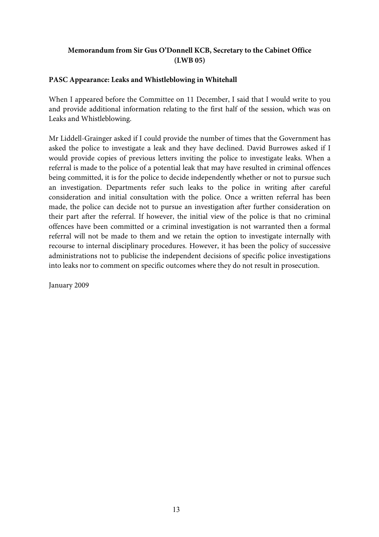# **Memorandum from Sir Gus O'Donnell KCB, Secretary to the Cabinet Office (LWB 05)**

# **PASC Appearance: Leaks and Whistleblowing in Whitehall**

When I appeared before the Committee on 11 December, I said that I would write to you and provide additional information relating to the first half of the session, which was on Leaks and Whistleblowing.

Mr Liddell-Grainger asked if I could provide the number of times that the Government has asked the police to investigate a leak and they have declined. David Burrowes asked if I would provide copies of previous letters inviting the police to investigate leaks. When a referral is made to the police of a potential leak that may have resulted in criminal offences being committed, it is for the police to decide independently whether or not to pursue such an investigation. Departments refer such leaks to the police in writing after careful consideration and initial consultation with the police. Once a written referral has been made, the police can decide not to pursue an investigation after further consideration on their part after the referral. If however, the initial view of the police is that no criminal offences have been committed or a criminal investigation is not warranted then a formal referral will not be made to them and we retain the option to investigate internally with recourse to internal disciplinary procedures. However, it has been the policy of successive administrations not to publicise the independent decisions of specific police investigations into leaks nor to comment on specific outcomes where they do not result in prosecution.

January 2009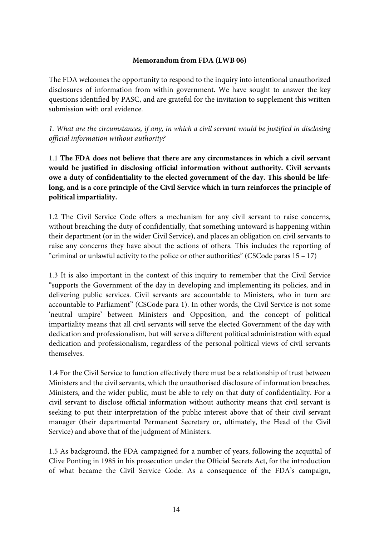### **Memorandum from FDA (LWB 06)**

The FDA welcomes the opportunity to respond to the inquiry into intentional unauthorized disclosures of information from within government. We have sought to answer the key questions identified by PASC, and are grateful for the invitation to supplement this written submission with oral evidence.

*1. What are the circumstances, if any, in which a civil servant would be justified in disclosing official information without authority?* 

1.1 **The FDA does not believe that there are any circumstances in which a civil servant would be justified in disclosing official information without authority. Civil servants owe a duty of confidentiality to the elected government of the day. This should be lifelong, and is a core principle of the Civil Service which in turn reinforces the principle of political impartiality.** 

1.2 The Civil Service Code offers a mechanism for any civil servant to raise concerns, without breaching the duty of confidentially, that something untoward is happening within their department (or in the wider Civil Service), and places an obligation on civil servants to raise any concerns they have about the actions of others. This includes the reporting of "criminal or unlawful activity to the police or other authorities" (CSCode paras  $15 - 17$ )

1.3 It is also important in the context of this inquiry to remember that the Civil Service "supports the Government of the day in developing and implementing its policies, and in delivering public services. Civil servants are accountable to Ministers, who in turn are accountable to Parliament" (CSCode para 1). In other words, the Civil Service is not some 'neutral umpire' between Ministers and Opposition, and the concept of political impartiality means that all civil servants will serve the elected Government of the day with dedication and professionalism, but will serve a different political administration with equal dedication and professionalism, regardless of the personal political views of civil servants themselves.

1.4 For the Civil Service to function effectively there must be a relationship of trust between Ministers and the civil servants, which the unauthorised disclosure of information breaches. Ministers, and the wider public, must be able to rely on that duty of confidentiality. For a civil servant to disclose official information without authority means that civil servant is seeking to put their interpretation of the public interest above that of their civil servant manager (their departmental Permanent Secretary or, ultimately, the Head of the Civil Service) and above that of the judgment of Ministers.

1.5 As background, the FDA campaigned for a number of years, following the acquittal of Clive Ponting in 1985 in his prosecution under the Official Secrets Act, for the introduction of what became the Civil Service Code. As a consequence of the FDA's campaign,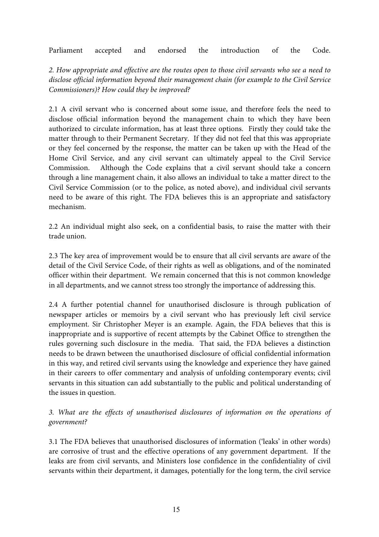Parliament accepted and endorsed the introduction of the Code.

*2. How appropriate and effective are the routes open to those civil servants who see a need to disclose official information beyond their management chain (for example to the Civil Service Commissioners)? How could they be improved?* 

2.1 A civil servant who is concerned about some issue, and therefore feels the need to disclose official information beyond the management chain to which they have been authorized to circulate information, has at least three options. Firstly they could take the matter through to their Permanent Secretary. If they did not feel that this was appropriate or they feel concerned by the response, the matter can be taken up with the Head of the Home Civil Service, and any civil servant can ultimately appeal to the Civil Service Commission. Although the Code explains that a civil servant should take a concern through a line management chain, it also allows an individual to take a matter direct to the Civil Service Commission (or to the police, as noted above), and individual civil servants need to be aware of this right. The FDA believes this is an appropriate and satisfactory mechanism.

2.2 An individual might also seek, on a confidential basis, to raise the matter with their trade union.

2.3 The key area of improvement would be to ensure that all civil servants are aware of the detail of the Civil Service Code, of their rights as well as obligations, and of the nominated officer within their department. We remain concerned that this is not common knowledge in all departments, and we cannot stress too strongly the importance of addressing this.

2.4 A further potential channel for unauthorised disclosure is through publication of newspaper articles or memoirs by a civil servant who has previously left civil service employment. Sir Christopher Meyer is an example. Again, the FDA believes that this is inappropriate and is supportive of recent attempts by the Cabinet Office to strengthen the rules governing such disclosure in the media. That said, the FDA believes a distinction needs to be drawn between the unauthorised disclosure of official confidential information in this way, and retired civil servants using the knowledge and experience they have gained in their careers to offer commentary and analysis of unfolding contemporary events; civil servants in this situation can add substantially to the public and political understanding of the issues in question.

*3. What are the effects of unauthorised disclosures of information on the operations of government?* 

3.1 The FDA believes that unauthorised disclosures of information ('leaks' in other words) are corrosive of trust and the effective operations of any government department. If the leaks are from civil servants, and Ministers lose confidence in the confidentiality of civil servants within their department, it damages, potentially for the long term, the civil service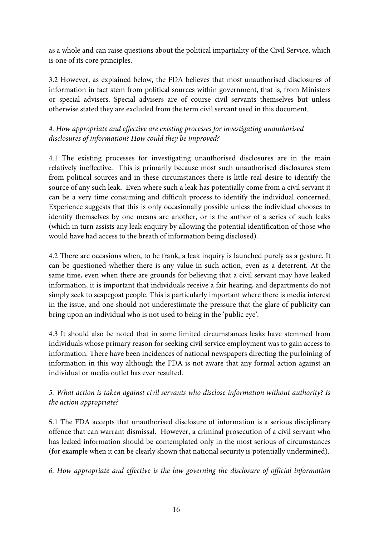as a whole and can raise questions about the political impartiality of the Civil Service, which is one of its core principles.

3.2 However, as explained below, the FDA believes that most unauthorised disclosures of information in fact stem from political sources within government, that is, from Ministers or special advisers. Special advisers are of course civil servants themselves but unless otherwise stated they are excluded from the term civil servant used in this document.

# *4. How appropriate and effective are existing processes for investigating unauthorised disclosures of information? How could they be improved?*

4.1 The existing processes for investigating unauthorised disclosures are in the main relatively ineffective. This is primarily because most such unauthorised disclosures stem from political sources and in these circumstances there is little real desire to identify the source of any such leak. Even where such a leak has potentially come from a civil servant it can be a very time consuming and difficult process to identify the individual concerned. Experience suggests that this is only occasionally possible unless the individual chooses to identify themselves by one means are another, or is the author of a series of such leaks (which in turn assists any leak enquiry by allowing the potential identification of those who would have had access to the breath of information being disclosed).

4.2 There are occasions when, to be frank, a leak inquiry is launched purely as a gesture. It can be questioned whether there is any value in such action, even as a deterrent. At the same time, even when there are grounds for believing that a civil servant may have leaked information, it is important that individuals receive a fair hearing, and departments do not simply seek to scapegoat people. This is particularly important where there is media interest in the issue, and one should not underestimate the pressure that the glare of publicity can bring upon an individual who is not used to being in the 'public eye'.

4.3 It should also be noted that in some limited circumstances leaks have stemmed from individuals whose primary reason for seeking civil service employment was to gain access to information. There have been incidences of national newspapers directing the purloining of information in this way although the FDA is not aware that any formal action against an individual or media outlet has ever resulted.

# *5. What action is taken against civil servants who disclose information without authority? Is the action appropriate?*

5.1 The FDA accepts that unauthorised disclosure of information is a serious disciplinary offence that can warrant dismissal. However, a criminal prosecution of a civil servant who has leaked information should be contemplated only in the most serious of circumstances (for example when it can be clearly shown that national security is potentially undermined).

*6. How appropriate and effective is the law governing the disclosure of official information*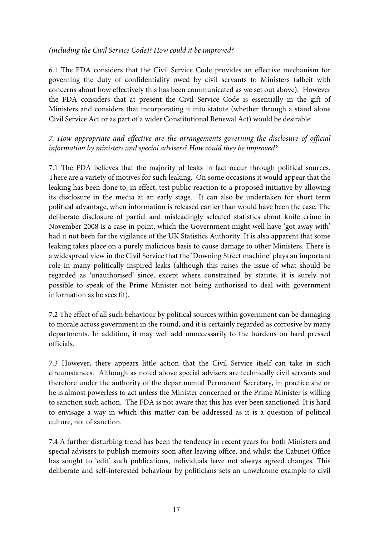# *(including the Civil Service Code)? How could it be improved?*

6.1 The FDA considers that the Civil Service Code provides an effective mechanism for governing the duty of confidentiality owed by civil servants to Ministers (albeit with concerns about how effectively this has been communicated as we set out above). However the FDA considers that at present the Civil Service Code is essentially in the gift of Ministers and considers that incorporating it into statute (whether through a stand alone Civil Service Act or as part of a wider Constitutional Renewal Act) would be desirable.

*7. How appropriate and effective are the arrangements governing the disclosure of official information by ministers and special advisers? How could they be improved?* 

7.1 The FDA believes that the majority of leaks in fact occur through political sources. There are a variety of motives for such leaking. On some occasions it would appear that the leaking has been done to, in effect, test public reaction to a proposed initiative by allowing its disclosure in the media at an early stage. It can also be undertaken for short term political advantage, when information is released earlier than would have been the case. The deliberate disclosure of partial and misleadingly selected statistics about knife crime in November 2008 is a case in point, which the Government might well have 'got away with' had it not been for the vigilance of the UK Statistics Authority. It is also apparent that some leaking takes place on a purely malicious basis to cause damage to other Ministers. There is a widespread view in the Civil Service that the 'Downing Street machine' plays an important role in many politically inspired leaks (although this raises the issue of what should be regarded as 'unauthorised' since, except where constrained by statute, it is surely not possible to speak of the Prime Minister not being authorised to deal with government information as he sees fit).

7.2 The effect of all such behaviour by political sources within government can be damaging to morale across government in the round, and it is certainly regarded as corrosive by many departments. In addition, it may well add unnecessarily to the burdens on hard pressed officials.

7.3 However, there appears little action that the Civil Service itself can take in such circumstances. Although as noted above special advisers are technically civil servants and therefore under the authority of the departmental Permanent Secretary, in practice she or he is almost powerless to act unless the Minister concerned or the Prime Minister is willing to sanction such action. The FDA is not aware that this has ever been sanctioned. It is hard to envisage a way in which this matter can be addressed as it is a question of political culture, not of sanction.

7.4 A further disturbing trend has been the tendency in recent years for both Ministers and special advisers to publish memoirs soon after leaving office, and whilst the Cabinet Office has sought to 'edit' such publications, individuals have not always agreed changes. This deliberate and self-interested behaviour by politicians sets an unwelcome example to civil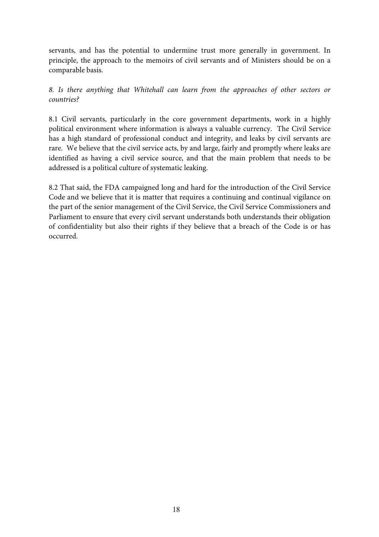servants, and has the potential to undermine trust more generally in government. In principle, the approach to the memoirs of civil servants and of Ministers should be on a comparable basis.

*8. Is there anything that Whitehall can learn from the approaches of other sectors or countries?* 

8.1 Civil servants, particularly in the core government departments, work in a highly political environment where information is always a valuable currency. The Civil Service has a high standard of professional conduct and integrity, and leaks by civil servants are rare. We believe that the civil service acts, by and large, fairly and promptly where leaks are identified as having a civil service source, and that the main problem that needs to be addressed is a political culture of systematic leaking.

8.2 That said, the FDA campaigned long and hard for the introduction of the Civil Service Code and we believe that it is matter that requires a continuing and continual vigilance on the part of the senior management of the Civil Service, the Civil Service Commissioners and Parliament to ensure that every civil servant understands both understands their obligation of confidentiality but also their rights if they believe that a breach of the Code is or has occurred.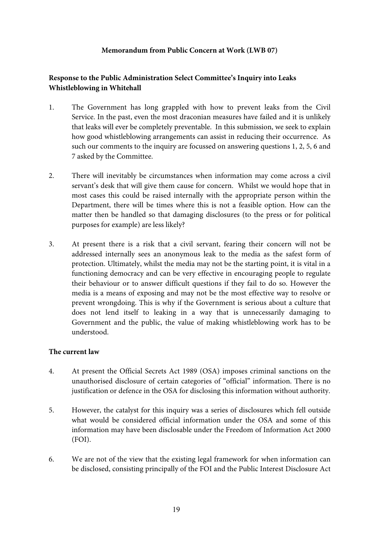### **Memorandum from Public Concern at Work (LWB 07)**

# **Response to the Public Administration Select Committee's Inquiry into Leaks Whistleblowing in Whitehall**

- 1. The Government has long grappled with how to prevent leaks from the Civil Service. In the past, even the most draconian measures have failed and it is unlikely that leaks will ever be completely preventable. In this submission, we seek to explain how good whistleblowing arrangements can assist in reducing their occurrence. As such our comments to the inquiry are focussed on answering questions 1, 2, 5, 6 and 7 asked by the Committee.
- 2. There will inevitably be circumstances when information may come across a civil servant's desk that will give them cause for concern. Whilst we would hope that in most cases this could be raised internally with the appropriate person within the Department, there will be times where this is not a feasible option. How can the matter then be handled so that damaging disclosures (to the press or for political purposes for example) are less likely?
- 3. At present there is a risk that a civil servant, fearing their concern will not be addressed internally sees an anonymous leak to the media as the safest form of protection. Ultimately, whilst the media may not be the starting point, it is vital in a functioning democracy and can be very effective in encouraging people to regulate their behaviour or to answer difficult questions if they fail to do so. However the media is a means of exposing and may not be the most effective way to resolve or prevent wrongdoing. This is why if the Government is serious about a culture that does not lend itself to leaking in a way that is unnecessarily damaging to Government and the public, the value of making whistleblowing work has to be understood.

#### **The current law**

- 4. At present the Official Secrets Act 1989 (OSA) imposes criminal sanctions on the unauthorised disclosure of certain categories of "official" information. There is no justification or defence in the OSA for disclosing this information without authority.
- 5. However, the catalyst for this inquiry was a series of disclosures which fell outside what would be considered official information under the OSA and some of this information may have been disclosable under the Freedom of Information Act 2000 (FOI).
- 6. We are not of the view that the existing legal framework for when information can be disclosed, consisting principally of the FOI and the Public Interest Disclosure Act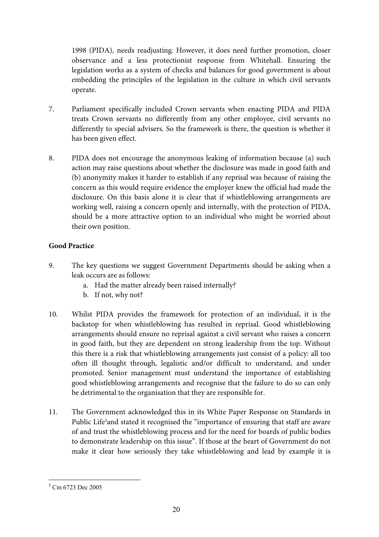1998 (PIDA), needs readjusting. However, it does need further promotion, closer observance and a less protectionist response from Whitehall. Ensuring the legislation works as a system of checks and balances for good government is about embedding the principles of the legislation in the culture in which civil servants operate.

- 7. Parliament specifically included Crown servants when enacting PIDA and PIDA treats Crown servants no differently from any other employee, civil servants no differently to special advisers. So the framework is there, the question is whether it has been given effect.
- 8. PIDA does not encourage the anonymous leaking of information because (a) such action may raise questions about whether the disclosure was made in good faith and (b) anonymity makes it harder to establish if any reprisal was because of raising the concern as this would require evidence the employer knew the official had made the disclosure. On this basis alone it is clear that if whistleblowing arrangements are working well, raising a concern openly and internally, with the protection of PIDA, should be a more attractive option to an individual who might be worried about their own position.

# **Good Practice**

- 9. The key questions we suggest Government Departments should be asking when a leak occurs are as follows:
	- a. Had the matter already been raised internally?
	- b. If not, why not?
- 10. Whilst PIDA provides the framework for protection of an individual, it is the backstop for when whistleblowing has resulted in reprisal. Good whistleblowing arrangements should ensure no reprisal against a civil servant who raises a concern in good faith, but they are dependent on strong leadership from the top. Without this there is a risk that whistleblowing arrangements just consist of a policy: all too often ill thought through, legalistic and/or difficult to understand, and under promoted. Senior management must understand the importance of establishing good whistleblowing arrangements and recognise that the failure to do so can only be detrimental to the organisation that they are responsible for.
- 11. The Government acknowledged this in its White Paper Response on Standards in Public Life<sup>5</sup>and stated it recognised the "importance of ensuring that staff are aware of and trust the whistleblowing process and for the need for boards of public bodies to demonstrate leadership on this issue". If those at the heart of Government do not make it clear how seriously they take whistleblowing and lead by example it is

<sup>&</sup>lt;sup>5</sup> Cm 6723 Dec 2005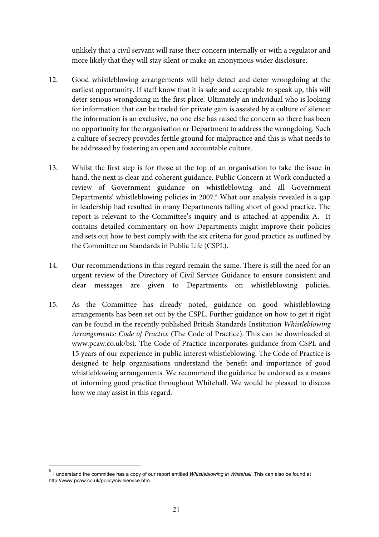unlikely that a civil servant will raise their concern internally or with a regulator and more likely that they will stay silent or make an anonymous wider disclosure.

- 12. Good whistleblowing arrangements will help detect and deter wrongdoing at the earliest opportunity. If staff know that it is safe and acceptable to speak up, this will deter serious wrongdoing in the first place. Ultimately an individual who is looking for information that can be traded for private gain is assisted by a culture of silence: the information is an exclusive, no one else has raised the concern so there has been no opportunity for the organisation or Department to address the wrongdoing. Such a culture of secrecy provides fertile ground for malpractice and this is what needs to be addressed by fostering an open and accountable culture.
- 13. Whilst the first step is for those at the top of an organisation to take the issue in hand, the next is clear and coherent guidance. Public Concern at Work conducted a review of Government guidance on whistleblowing and all Government Departments' whistleblowing policies in 2007.<sup>6</sup> What our analysis revealed is a gap in leadership had resulted in many Departments falling short of good practice. The report is relevant to the Committee's inquiry and is attached at appendix A. It contains detailed commentary on how Departments might improve their policies and sets out how to best comply with the six criteria for good practice as outlined by the Committee on Standards in Public Life (CSPL).
- 14. Our recommendations in this regard remain the same. There is still the need for an urgent review of the Directory of Civil Service Guidance to ensure consistent and clear messages are given to Departments on whistleblowing policies.
- 15. As the Committee has already noted, guidance on good whistleblowing arrangements has been set out by the CSPL. Further guidance on how to get it right can be found in the recently published British Standards Institution *Whistleblowing Arrangements: Code of Practice* (The Code of Practice). This can be downloaded at www.pcaw.co.uk/bsi. The Code of Practice incorporates guidance from CSPL and 15 years of our experience in public interest whistleblowing. The Code of Practice is designed to help organisations understand the benefit and importance of good whistleblowing arrangements. We recommend the guidance be endorsed as a means of informing good practice throughout Whitehall. We would be pleased to discuss how we may assist in this regard.

 $\overline{a}$ 

<sup>6</sup> I understand the committee has a copy of our report entitled *Whistleblowing in Whitehall*. This can also be found at http://www.pcaw.co.uk/policy/civilservice.htm.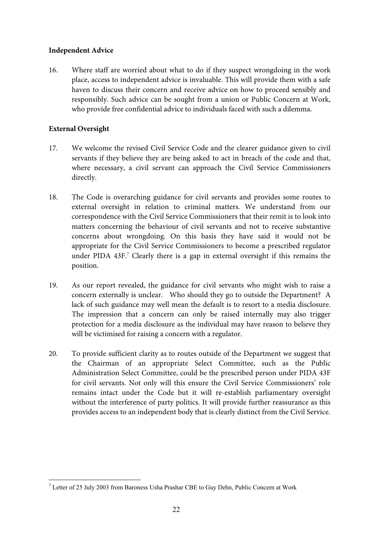#### **Independent Advice**

16. Where staff are worried about what to do if they suspect wrongdoing in the work place, access to independent advice is invaluable. This will provide them with a safe haven to discuss their concern and receive advice on how to proceed sensibly and responsibly. Such advice can be sought from a union or Public Concern at Work, who provide free confidential advice to individuals faced with such a dilemma.

#### **External Oversight**

- 17. We welcome the revised Civil Service Code and the clearer guidance given to civil servants if they believe they are being asked to act in breach of the code and that, where necessary, a civil servant can approach the Civil Service Commissioners directly.
- 18. The Code is overarching guidance for civil servants and provides some routes to external oversight in relation to criminal matters. We understand from our correspondence with the Civil Service Commissioners that their remit is to look into matters concerning the behaviour of civil servants and not to receive substantive concerns about wrongdoing. On this basis they have said it would not be appropriate for the Civil Service Commissioners to become a prescribed regulator under PIDA 43F.<sup>7</sup> Clearly there is a gap in external oversight if this remains the position.
- 19. As our report revealed, the guidance for civil servants who might wish to raise a concern externally is unclear. Who should they go to outside the Department? A lack of such guidance may well mean the default is to resort to a media disclosure. The impression that a concern can only be raised internally may also trigger protection for a media disclosure as the individual may have reason to believe they will be victimised for raising a concern with a regulator.
- 20. To provide sufficient clarity as to routes outside of the Department we suggest that the Chairman of an appropriate Select Committee, such as the Public Administration Select Committee, could be the prescribed person under PIDA 43F for civil servants. Not only will this ensure the Civil Service Commissioners' role remains intact under the Code but it will re-establish parliamentary oversight without the interference of party politics. It will provide further reassurance as this provides access to an independent body that is clearly distinct from the Civil Service.

<sup>&</sup>lt;sup>7</sup> Letter of 25 July 2003 from Baroness Usha Prashar CBE to Guy Dehn, Public Concern at Work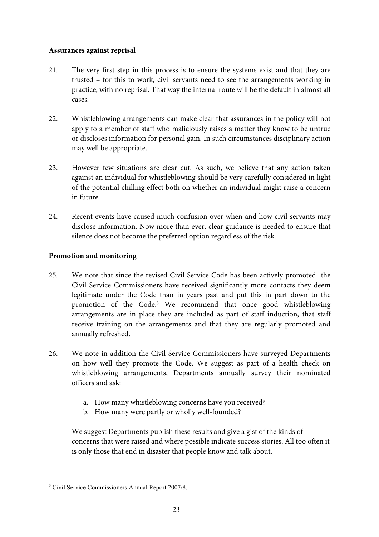#### **Assurances against reprisal**

- 21. The very first step in this process is to ensure the systems exist and that they are trusted – for this to work, civil servants need to see the arrangements working in practice, with no reprisal. That way the internal route will be the default in almost all cases.
- 22. Whistleblowing arrangements can make clear that assurances in the policy will not apply to a member of staff who maliciously raises a matter they know to be untrue or discloses information for personal gain. In such circumstances disciplinary action may well be appropriate.
- 23. However few situations are clear cut. As such, we believe that any action taken against an individual for whistleblowing should be very carefully considered in light of the potential chilling effect both on whether an individual might raise a concern in future.
- 24. Recent events have caused much confusion over when and how civil servants may disclose information. Now more than ever, clear guidance is needed to ensure that silence does not become the preferred option regardless of the risk.

### **Promotion and monitoring**

- 25. We note that since the revised Civil Service Code has been actively promoted the Civil Service Commissioners have received significantly more contacts they deem legitimate under the Code than in years past and put this in part down to the promotion of the Code.8 We recommend that once good whistleblowing arrangements are in place they are included as part of staff induction, that staff receive training on the arrangements and that they are regularly promoted and annually refreshed.
- 26. We note in addition the Civil Service Commissioners have surveyed Departments on how well they promote the Code. We suggest as part of a health check on whistleblowing arrangements, Departments annually survey their nominated officers and ask:
	- a. How many whistleblowing concerns have you received?
	- b. How many were partly or wholly well-founded?

We suggest Departments publish these results and give a gist of the kinds of concerns that were raised and where possible indicate success stories. All too often it is only those that end in disaster that people know and talk about.

 $\overline{a}$ 8 Civil Service Commissioners Annual Report 2007/8.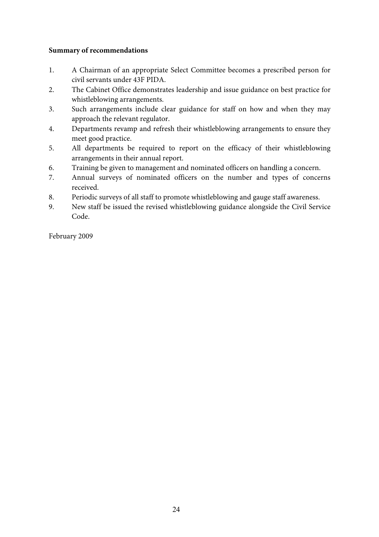#### **Summary of recommendations**

- 1. A Chairman of an appropriate Select Committee becomes a prescribed person for civil servants under 43F PIDA.
- 2. The Cabinet Office demonstrates leadership and issue guidance on best practice for whistleblowing arrangements.
- 3. Such arrangements include clear guidance for staff on how and when they may approach the relevant regulator.
- 4. Departments revamp and refresh their whistleblowing arrangements to ensure they meet good practice.
- 5. All departments be required to report on the efficacy of their whistleblowing arrangements in their annual report.
- 6. Training be given to management and nominated officers on handling a concern.
- 7. Annual surveys of nominated officers on the number and types of concerns received.
- 8. Periodic surveys of all staff to promote whistleblowing and gauge staff awareness.
- 9. New staff be issued the revised whistleblowing guidance alongside the Civil Service Code.

February 2009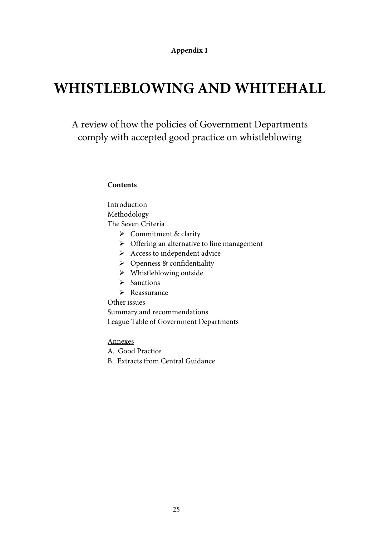# **Appendix 1**

# **WHISTLEBLOWING AND WHITEHALL**

# A review of how the policies of Government Departments comply with accepted good practice on whistleblowing

#### **Contents**

Introduction Methodology The Seven Criteria

- $\triangleright$  Commitment & clarity
- $\triangleright$  Offering an alternative to line management
- $\triangleright$  Access to independent advice
- $\triangleright$  Openness & confidentiality
- $\triangleright$  Whistleblowing outside
- $\triangleright$  Sanctions
- $\triangleright$  Reassurance

Other issues

Summary and recommendations League Table of Government Departments

Annexes

A. Good Practice

B. Extracts from Central Guidance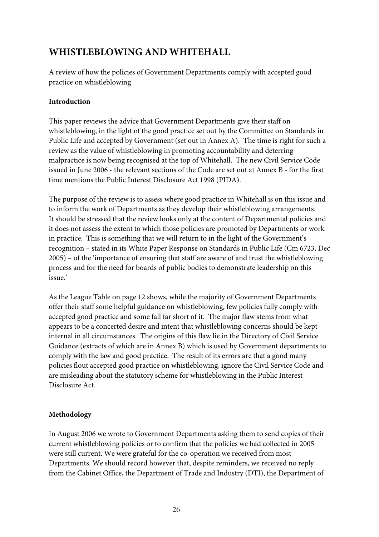# **WHISTLEBLOWING AND WHITEHALL**

A review of how the policies of Government Departments comply with accepted good practice on whistleblowing

# **Introduction**

This paper reviews the advice that Government Departments give their staff on whistleblowing, in the light of the good practice set out by the Committee on Standards in Public Life and accepted by Government (set out in Annex A). The time is right for such a review as the value of whistleblowing in promoting accountability and deterring malpractice is now being recognised at the top of Whitehall. The new Civil Service Code issued in June 2006 - the relevant sections of the Code are set out at Annex B - for the first time mentions the Public Interest Disclosure Act 1998 (PIDA).

The purpose of the review is to assess where good practice in Whitehall is on this issue and to inform the work of Departments as they develop their whistleblowing arrangements. It should be stressed that the review looks only at the content of Departmental policies and it does not assess the extent to which those policies are promoted by Departments or work in practice. This is something that we will return to in the light of the Government's recognition – stated in its White Paper Response on Standards in Public Life (Cm 6723, Dec 2005) – of the 'importance of ensuring that staff are aware of and trust the whistleblowing process and for the need for boards of public bodies to demonstrate leadership on this issue.'

As the League Table on page 12 shows, while the majority of Government Departments offer their staff some helpful guidance on whistleblowing, few policies fully comply with accepted good practice and some fall far short of it. The major flaw stems from what appears to be a concerted desire and intent that whistleblowing concerns should be kept internal in all circumstances. The origins of this flaw lie in the Directory of Civil Service Guidance (extracts of which are in Annex B) which is used by Government departments to comply with the law and good practice. The result of its errors are that a good many policies flout accepted good practice on whistleblowing, ignore the Civil Service Code and are misleading about the statutory scheme for whistleblowing in the Public Interest Disclosure Act.

# **Methodology**

In August 2006 we wrote to Government Departments asking them to send copies of their current whistleblowing policies or to confirm that the policies we had collected in 2005 were still current. We were grateful for the co-operation we received from most Departments. We should record however that, despite reminders, we received no reply from the Cabinet Office, the Department of Trade and Industry (DTI), the Department of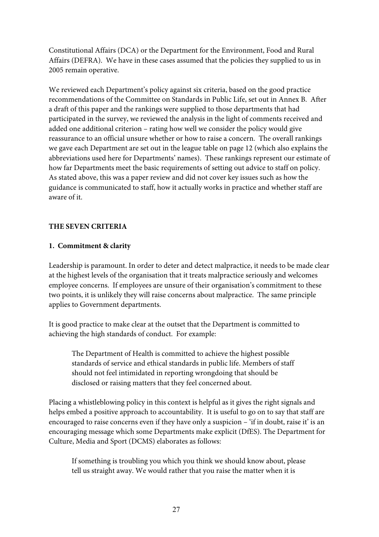Constitutional Affairs (DCA) or the Department for the Environment, Food and Rural Affairs (DEFRA). We have in these cases assumed that the policies they supplied to us in 2005 remain operative.

We reviewed each Department's policy against six criteria, based on the good practice recommendations of the Committee on Standards in Public Life, set out in Annex B. After a draft of this paper and the rankings were supplied to those departments that had participated in the survey, we reviewed the analysis in the light of comments received and added one additional criterion – rating how well we consider the policy would give reassurance to an official unsure whether or how to raise a concern. The overall rankings we gave each Department are set out in the league table on page 12 (which also explains the abbreviations used here for Departments' names). These rankings represent our estimate of how far Departments meet the basic requirements of setting out advice to staff on policy. As stated above, this was a paper review and did not cover key issues such as how the guidance is communicated to staff, how it actually works in practice and whether staff are aware of it.

# **THE SEVEN CRITERIA**

### **1. Commitment & clarity**

Leadership is paramount. In order to deter and detect malpractice, it needs to be made clear at the highest levels of the organisation that it treats malpractice seriously and welcomes employee concerns. If employees are unsure of their organisation's commitment to these two points, it is unlikely they will raise concerns about malpractice. The same principle applies to Government departments.

It is good practice to make clear at the outset that the Department is committed to achieving the high standards of conduct. For example:

The Department of Health is committed to achieve the highest possible standards of service and ethical standards in public life. Members of staff should not feel intimidated in reporting wrongdoing that should be disclosed or raising matters that they feel concerned about.

Placing a whistleblowing policy in this context is helpful as it gives the right signals and helps embed a positive approach to accountability. It is useful to go on to say that staff are encouraged to raise concerns even if they have only a suspicion – 'if in doubt, raise it' is an encouraging message which some Departments make explicit (DfES). The Department for Culture, Media and Sport (DCMS) elaborates as follows:

If something is troubling you which you think we should know about, please tell us straight away. We would rather that you raise the matter when it is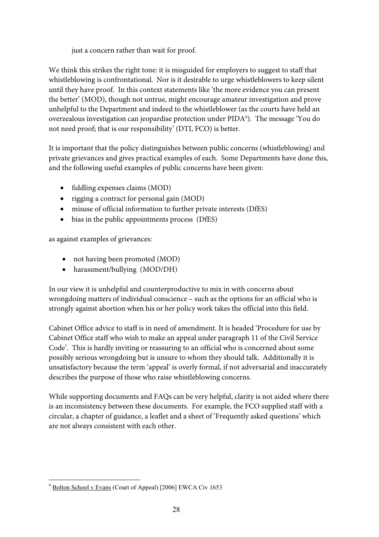just a concern rather than wait for proof.

We think this strikes the right tone: it is misguided for employers to suggest to staff that whistleblowing is confrontational. Nor is it desirable to urge whistleblowers to keep silent until they have proof. In this context statements like 'the more evidence you can present the better' (MOD), though not untrue, might encourage amateur investigation and prove unhelpful to the Department and indeed to the whistleblower (as the courts have held an overzealous investigation can jeopardise protection under PIDA9 ). The message 'You do not need proof; that is our responsibility' (DTI, FCO) is better.

It is important that the policy distinguishes between public concerns (whistleblowing) and private grievances and gives practical examples of each. Some Departments have done this, and the following useful examples of public concerns have been given:

- fiddling expenses claims (MOD)
- rigging a contract for personal gain (MOD)
- misuse of official information to further private interests (DfES)
- bias in the public appointments process (DfES)

as against examples of grievances:

- not having been promoted (MOD)
- harassment/bullying (MOD/DH)

In our view it is unhelpful and counterproductive to mix in with concerns about wrongdoing matters of individual conscience – such as the options for an official who is strongly against abortion when his or her policy work takes the official into this field.

Cabinet Office advice to staff is in need of amendment. It is headed 'Procedure for use by Cabinet Office staff who wish to make an appeal under paragraph 11 of the Civil Service Code'. This is hardly inviting or reassuring to an official who is concerned about some possibly serious wrongdoing but is unsure to whom they should talk. Additionally it is unsatisfactory because the term 'appeal' is overly formal, if not adversarial and inaccurately describes the purpose of those who raise whistleblowing concerns.

While supporting documents and FAQs can be very helpful, clarity is not aided where there is an inconsistency between these documents. For example, the FCO supplied staff with a circular, a chapter of guidance, a leaflet and a sheet of 'Frequently asked questions' which are not always consistent with each other.

 $\overline{a}$ <sup>9</sup> Bolton School v Evans (Court of Appeal) [2006] EWCA Civ 1653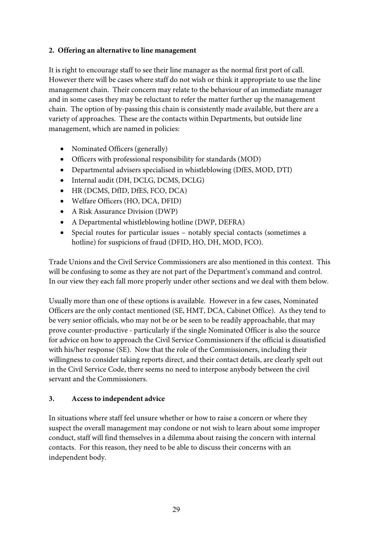# **2. Offering an alternative to line management**

It is right to encourage staff to see their line manager as the normal first port of call. However there will be cases where staff do not wish or think it appropriate to use the line management chain. Their concern may relate to the behaviour of an immediate manager and in some cases they may be reluctant to refer the matter further up the management chain. The option of by-passing this chain is consistently made available, but there are a variety of approaches. These are the contacts within Departments, but outside line management, which are named in policies:

- Nominated Officers (generally)
- Officers with professional responsibility for standards (MOD)
- Departmental advisers specialised in whistleblowing (DfES, MOD, DTI)
- Internal audit (DH, DCLG, DCMS, DCLG)
- HR (DCMS, DfID, DfES, FCO, DCA)
- Welfare Officers (HO, DCA, DFID)
- A Risk Assurance Division (DWP)
- A Departmental whistleblowing hotline (DWP, DEFRA)
- Special routes for particular issues notably special contacts (sometimes a hotline) for suspicions of fraud (DFID, HO, DH, MOD, FCO).

Trade Unions and the Civil Service Commissioners are also mentioned in this context. This will be confusing to some as they are not part of the Department's command and control. In our view they each fall more properly under other sections and we deal with them below.

Usually more than one of these options is available. However in a few cases, Nominated Officers are the only contact mentioned (SE, HMT, DCA, Cabinet Office). As they tend to be very senior officials, who may not be or be seen to be readily approachable, that may prove counter-productive - particularly if the single Nominated Officer is also the source for advice on how to approach the Civil Service Commissioners if the official is dissatisfied with his/her response (SE). Now that the role of the Commissioners, including their willingness to consider taking reports direct, and their contact details, are clearly spelt out in the Civil Service Code, there seems no need to interpose anybody between the civil servant and the Commissioners.

# **3. Access to independent advice**

In situations where staff feel unsure whether or how to raise a concern or where they suspect the overall management may condone or not wish to learn about some improper conduct, staff will find themselves in a dilemma about raising the concern with internal contacts. For this reason, they need to be able to discuss their concerns with an independent body.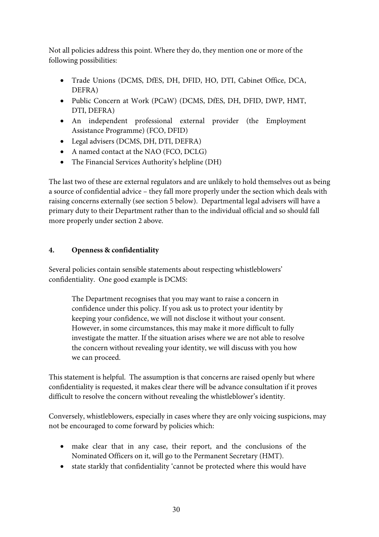Not all policies address this point. Where they do, they mention one or more of the following possibilities:

- Trade Unions (DCMS, DfES, DH, DFID, HO, DTI, Cabinet Office, DCA, DEFRA)
- Public Concern at Work (PCaW) (DCMS, DfES, DH, DFID, DWP, HMT, DTI, DEFRA)
- An independent professional external provider (the Employment Assistance Programme) (FCO, DFID)
- Legal advisers (DCMS, DH, DTI, DEFRA)
- A named contact at the NAO (FCO, DCLG)
- The Financial Services Authority's helpline (DH)

The last two of these are external regulators and are unlikely to hold themselves out as being a source of confidential advice – they fall more properly under the section which deals with raising concerns externally (see section 5 below). Departmental legal advisers will have a primary duty to their Department rather than to the individual official and so should fall more properly under section 2 above.

# **4. Openness & confidentiality**

Several policies contain sensible statements about respecting whistleblowers' confidentiality. One good example is DCMS:

The Department recognises that you may want to raise a concern in confidence under this policy. If you ask us to protect your identity by keeping your confidence, we will not disclose it without your consent. However, in some circumstances, this may make it more difficult to fully investigate the matter. If the situation arises where we are not able to resolve the concern without revealing your identity, we will discuss with you how we can proceed.

This statement is helpful. The assumption is that concerns are raised openly but where confidentiality is requested, it makes clear there will be advance consultation if it proves difficult to resolve the concern without revealing the whistleblower's identity.

Conversely, whistleblowers, especially in cases where they are only voicing suspicions, may not be encouraged to come forward by policies which:

- make clear that in any case, their report, and the conclusions of the Nominated Officers on it, will go to the Permanent Secretary (HMT).
- state starkly that confidentiality 'cannot be protected where this would have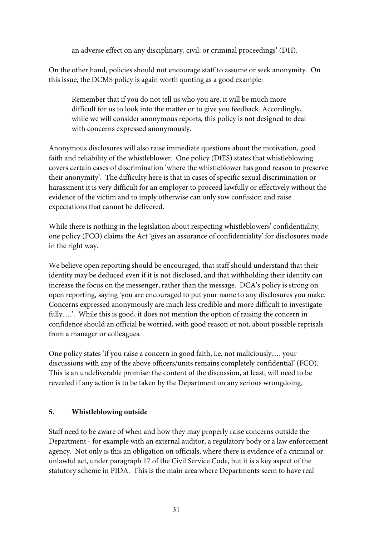an adverse effect on any disciplinary, civil, or criminal proceedings' (DH).

On the other hand, policies should not encourage staff to assume or seek anonymity. On this issue, the DCMS policy is again worth quoting as a good example:

Remember that if you do not tell us who you are, it will be much more difficult for us to look into the matter or to give you feedback. Accordingly, while we will consider anonymous reports, this policy is not designed to deal with concerns expressed anonymously.

Anonymous disclosures will also raise immediate questions about the motivation, good faith and reliability of the whistleblower. One policy (DfES) states that whistleblowing covers certain cases of discrimination 'where the whistleblower has good reason to preserve their anonymity'. The difficulty here is that in cases of specific sexual discrimination or harassment it is very difficult for an employer to proceed lawfully or effectively without the evidence of the victim and to imply otherwise can only sow confusion and raise expectations that cannot be delivered.

While there is nothing in the legislation about respecting whistleblowers' confidentiality, one policy (FCO) claims the Act 'gives an assurance of confidentiality' for disclosures made in the right way.

We believe open reporting should be encouraged, that staff should understand that their identity may be deduced even if it is not disclosed, and that withholding their identity can increase the focus on the messenger, rather than the message. DCA's policy is strong on open reporting, saying 'you are encouraged to put your name to any disclosures you make. Concerns expressed anonymously are much less credible and more difficult to investigate fully....'. While this is good, it does not mention the option of raising the concern in confidence should an official be worried, with good reason or not, about possible reprisals from a manager or colleagues.

One policy states 'if you raise a concern in good faith, i.e. not maliciously…. your discussions with any of the above officers/units remains completely confidential' (FCO). This is an undeliverable promise: the content of the discussion, at least, will need to be revealed if any action is to be taken by the Department on any serious wrongdoing.

# **5. Whistleblowing outside**

Staff need to be aware of when and how they may properly raise concerns outside the Department - for example with an external auditor, a regulatory body or a law enforcement agency. Not only is this an obligation on officials, where there is evidence of a criminal or unlawful act, under paragraph 17 of the Civil Service Code, but it is a key aspect of the statutory scheme in PIDA. This is the main area where Departments seem to have real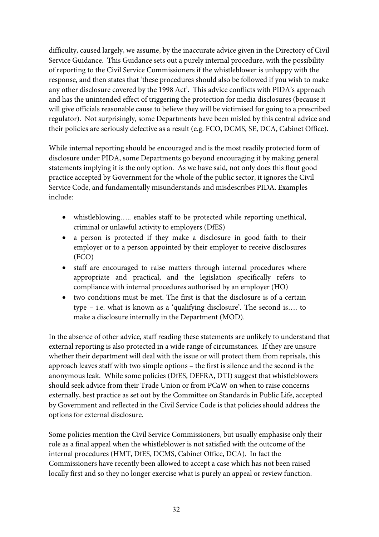difficulty, caused largely, we assume, by the inaccurate advice given in the Directory of Civil Service Guidance. This Guidance sets out a purely internal procedure, with the possibility of reporting to the Civil Service Commissioners if the whistleblower is unhappy with the response, and then states that 'these procedures should also be followed if you wish to make any other disclosure covered by the 1998 Act'. This advice conflicts with PIDA's approach and has the unintended effect of triggering the protection for media disclosures (because it will give officials reasonable cause to believe they will be victimised for going to a prescribed regulator). Not surprisingly, some Departments have been misled by this central advice and their policies are seriously defective as a result (e.g. FCO, DCMS, SE, DCA, Cabinet Office).

While internal reporting should be encouraged and is the most readily protected form of disclosure under PIDA, some Departments go beyond encouraging it by making general statements implying it is the only option. As we have said, not only does this flout good practice accepted by Government for the whole of the public sector, it ignores the Civil Service Code, and fundamentally misunderstands and misdescribes PIDA. Examples include:

- whistleblowing….. enables staff to be protected while reporting unethical, criminal or unlawful activity to employers (DfES)
- a person is protected if they make a disclosure in good faith to their employer or to a person appointed by their employer to receive disclosures (FCO)
- staff are encouraged to raise matters through internal procedures where appropriate and practical, and the legislation specifically refers to compliance with internal procedures authorised by an employer (HO)
- two conditions must be met. The first is that the disclosure is of a certain type – i.e. what is known as a 'qualifying disclosure'. The second is…. to make a disclosure internally in the Department (MOD).

In the absence of other advice, staff reading these statements are unlikely to understand that external reporting is also protected in a wide range of circumstances. If they are unsure whether their department will deal with the issue or will protect them from reprisals, this approach leaves staff with two simple options – the first is silence and the second is the anonymous leak. While some policies (DfES, DEFRA, DTI) suggest that whistleblowers should seek advice from their Trade Union or from PCaW on when to raise concerns externally, best practice as set out by the Committee on Standards in Public Life, accepted by Government and reflected in the Civil Service Code is that policies should address the options for external disclosure.

Some policies mention the Civil Service Commissioners, but usually emphasise only their role as a final appeal when the whistleblower is not satisfied with the outcome of the internal procedures (HMT, DfES, DCMS, Cabinet Office, DCA). In fact the Commissioners have recently been allowed to accept a case which has not been raised locally first and so they no longer exercise what is purely an appeal or review function.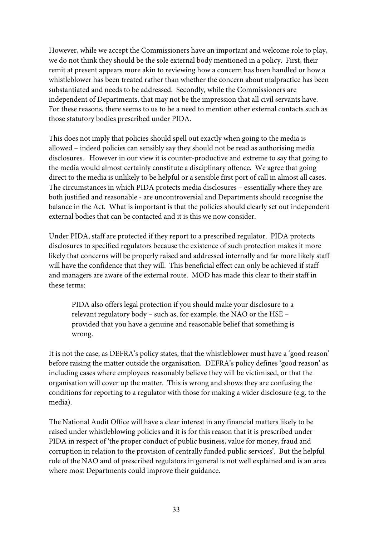However, while we accept the Commissioners have an important and welcome role to play, we do not think they should be the sole external body mentioned in a policy. First, their remit at present appears more akin to reviewing how a concern has been handled or how a whistleblower has been treated rather than whether the concern about malpractice has been substantiated and needs to be addressed. Secondly, while the Commissioners are independent of Departments, that may not be the impression that all civil servants have. For these reasons, there seems to us to be a need to mention other external contacts such as those statutory bodies prescribed under PIDA.

This does not imply that policies should spell out exactly when going to the media is allowed – indeed policies can sensibly say they should not be read as authorising media disclosures. However in our view it is counter-productive and extreme to say that going to the media would almost certainly constitute a disciplinary offence. We agree that going direct to the media is unlikely to be helpful or a sensible first port of call in almost all cases. The circumstances in which PIDA protects media disclosures – essentially where they are both justified and reasonable - are uncontroversial and Departments should recognise the balance in the Act. What is important is that the policies should clearly set out independent external bodies that can be contacted and it is this we now consider.

Under PIDA, staff are protected if they report to a prescribed regulator. PIDA protects disclosures to specified regulators because the existence of such protection makes it more likely that concerns will be properly raised and addressed internally and far more likely staff will have the confidence that they will. This beneficial effect can only be achieved if staff and managers are aware of the external route. MOD has made this clear to their staff in these terms:

PIDA also offers legal protection if you should make your disclosure to a relevant regulatory body – such as, for example, the NAO or the HSE – provided that you have a genuine and reasonable belief that something is wrong.

It is not the case, as DEFRA's policy states, that the whistleblower must have a 'good reason' before raising the matter outside the organisation. DEFRA's policy defines 'good reason' as including cases where employees reasonably believe they will be victimised, or that the organisation will cover up the matter. This is wrong and shows they are confusing the conditions for reporting to a regulator with those for making a wider disclosure (e.g. to the media).

The National Audit Office will have a clear interest in any financial matters likely to be raised under whistleblowing policies and it is for this reason that it is prescribed under PIDA in respect of 'the proper conduct of public business, value for money, fraud and corruption in relation to the provision of centrally funded public services'. But the helpful role of the NAO and of prescribed regulators in general is not well explained and is an area where most Departments could improve their guidance.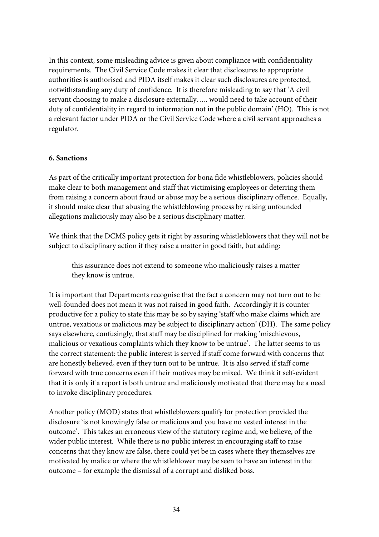In this context, some misleading advice is given about compliance with confidentiality requirements. The Civil Service Code makes it clear that disclosures to appropriate authorities is authorised and PIDA itself makes it clear such disclosures are protected, notwithstanding any duty of confidence. It is therefore misleading to say that 'A civil servant choosing to make a disclosure externally….. would need to take account of their duty of confidentiality in regard to information not in the public domain' (HO). This is not a relevant factor under PIDA or the Civil Service Code where a civil servant approaches a regulator.

# **6. Sanctions**

As part of the critically important protection for bona fide whistleblowers, policies should make clear to both management and staff that victimising employees or deterring them from raising a concern about fraud or abuse may be a serious disciplinary offence. Equally, it should make clear that abusing the whistleblowing process by raising unfounded allegations maliciously may also be a serious disciplinary matter.

We think that the DCMS policy gets it right by assuring whistleblowers that they will not be subject to disciplinary action if they raise a matter in good faith, but adding:

this assurance does not extend to someone who maliciously raises a matter they know is untrue.

It is important that Departments recognise that the fact a concern may not turn out to be well-founded does not mean it was not raised in good faith. Accordingly it is counter productive for a policy to state this may be so by saying 'staff who make claims which are untrue, vexatious or malicious may be subject to disciplinary action' (DH). The same policy says elsewhere, confusingly, that staff may be disciplined for making 'mischievous, malicious or vexatious complaints which they know to be untrue'. The latter seems to us the correct statement: the public interest is served if staff come forward with concerns that are honestly believed, even if they turn out to be untrue. It is also served if staff come forward with true concerns even if their motives may be mixed. We think it self-evident that it is only if a report is both untrue and maliciously motivated that there may be a need to invoke disciplinary procedures.

Another policy (MOD) states that whistleblowers qualify for protection provided the disclosure 'is not knowingly false or malicious and you have no vested interest in the outcome'. This takes an erroneous view of the statutory regime and, we believe, of the wider public interest. While there is no public interest in encouraging staff to raise concerns that they know are false, there could yet be in cases where they themselves are motivated by malice or where the whistleblower may be seen to have an interest in the outcome – for example the dismissal of a corrupt and disliked boss.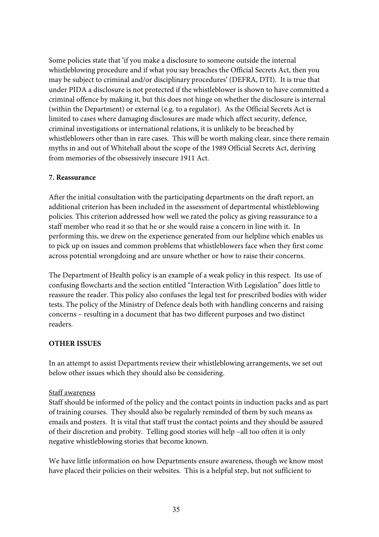Some policies state that 'if you make a disclosure to someone outside the internal whistleblowing procedure and if what you say breaches the Official Secrets Act, then you may be subject to criminal and/or disciplinary procedures' (DEFRA, DTI). It is true that under PIDA a disclosure is not protected if the whistleblower is shown to have committed a criminal offence by making it, but this does not hinge on whether the disclosure is internal (within the Department) or external (e.g. to a regulator). As the Official Secrets Act is limited to cases where damaging disclosures are made which affect security, defence, criminal investigations or international relations, it is unlikely to be breached by whistleblowers other than in rare cases. This will be worth making clear, since there remain myths in and out of Whitehall about the scope of the 1989 Official Secrets Act, deriving from memories of the obsessively insecure 1911 Act.

#### **7. Reassurance**

After the initial consultation with the participating departments on the draft report, an additional criterion has been included in the assessment of departmental whistleblowing policies. This criterion addressed how well we rated the policy as giving reassurance to a staff member who read it so that he or she would raise a concern in line with it. In performing this, we drew on the experience generated from our helpline which enables us to pick up on issues and common problems that whistleblowers face when they first come across potential wrongdoing and are unsure whether or how to raise their concerns.

The Department of Health policy is an example of a weak policy in this respect. Its use of confusing flowcharts and the section entitled "Interaction With Legislation" does little to reassure the reader. This policy also confuses the legal test for prescribed bodies with wider tests. The policy of the Ministry of Defence deals both with handling concerns and raising concerns – resulting in a document that has two different purposes and two distinct readers.

### **OTHER ISSUES**

In an attempt to assist Departments review their whistleblowing arrangements, we set out below other issues which they should also be considering.

### Staff awareness

Staff should be informed of the policy and the contact points in induction packs and as part of training courses. They should also be regularly reminded of them by such means as emails and posters. It is vital that staff trust the contact points and they should be assured of their discretion and probity. Telling good stories will help –all too often it is only negative whistleblowing stories that become known.

We have little information on how Departments ensure awareness, though we know most have placed their policies on their websites. This is a helpful step, but not sufficient to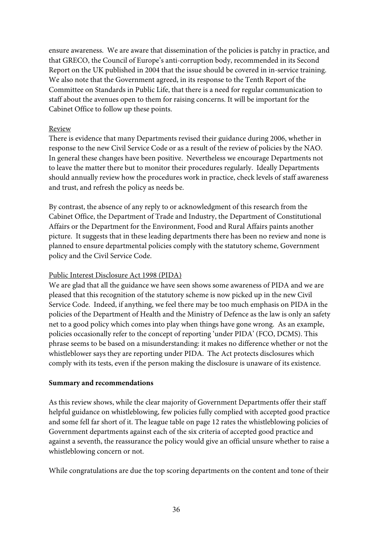ensure awareness. We are aware that dissemination of the policies is patchy in practice, and that GRECO, the Council of Europe's anti-corruption body, recommended in its Second Report on the UK published in 2004 that the issue should be covered in in-service training. We also note that the Government agreed, in its response to the Tenth Report of the Committee on Standards in Public Life, that there is a need for regular communication to staff about the avenues open to them for raising concerns. It will be important for the Cabinet Office to follow up these points.

### Review

There is evidence that many Departments revised their guidance during 2006, whether in response to the new Civil Service Code or as a result of the review of policies by the NAO. In general these changes have been positive. Nevertheless we encourage Departments not to leave the matter there but to monitor their procedures regularly. Ideally Departments should annually review how the procedures work in practice, check levels of staff awareness and trust, and refresh the policy as needs be.

By contrast, the absence of any reply to or acknowledgment of this research from the Cabinet Office, the Department of Trade and Industry, the Department of Constitutional Affairs or the Department for the Environment, Food and Rural Affairs paints another picture. It suggests that in these leading departments there has been no review and none is planned to ensure departmental policies comply with the statutory scheme, Government policy and the Civil Service Code.

# Public Interest Disclosure Act 1998 (PIDA)

We are glad that all the guidance we have seen shows some awareness of PIDA and we are pleased that this recognition of the statutory scheme is now picked up in the new Civil Service Code. Indeed, if anything, we feel there may be too much emphasis on PIDA in the policies of the Department of Health and the Ministry of Defence as the law is only an safety net to a good policy which comes into play when things have gone wrong. As an example, policies occasionally refer to the concept of reporting 'under PIDA' (FCO, DCMS). This phrase seems to be based on a misunderstanding: it makes no difference whether or not the whistleblower says they are reporting under PIDA. The Act protects disclosures which comply with its tests, even if the person making the disclosure is unaware of its existence.

### **Summary and recommendations**

As this review shows, while the clear majority of Government Departments offer their staff helpful guidance on whistleblowing, few policies fully complied with accepted good practice and some fell far short of it. The league table on page 12 rates the whistleblowing policies of Government departments against each of the six criteria of accepted good practice and against a seventh, the reassurance the policy would give an official unsure whether to raise a whistleblowing concern or not.

While congratulations are due the top scoring departments on the content and tone of their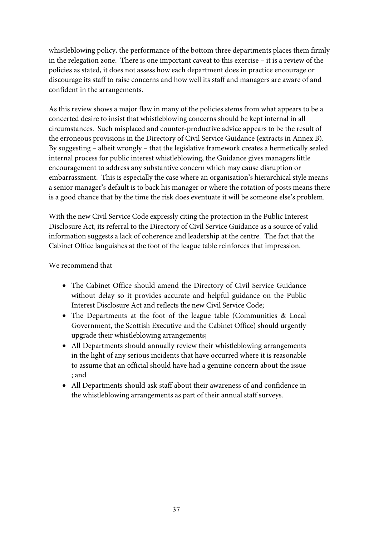whistleblowing policy, the performance of the bottom three departments places them firmly in the relegation zone. There is one important caveat to this exercise – it is a review of the policies as stated, it does not assess how each department does in practice encourage or discourage its staff to raise concerns and how well its staff and managers are aware of and confident in the arrangements.

As this review shows a major flaw in many of the policies stems from what appears to be a concerted desire to insist that whistleblowing concerns should be kept internal in all circumstances. Such misplaced and counter-productive advice appears to be the result of the erroneous provisions in the Directory of Civil Service Guidance (extracts in Annex B). By suggesting – albeit wrongly – that the legislative framework creates a hermetically sealed internal process for public interest whistleblowing, the Guidance gives managers little encouragement to address any substantive concern which may cause disruption or embarrassment. This is especially the case where an organisation's hierarchical style means a senior manager's default is to back his manager or where the rotation of posts means there is a good chance that by the time the risk does eventuate it will be someone else's problem.

With the new Civil Service Code expressly citing the protection in the Public Interest Disclosure Act, its referral to the Directory of Civil Service Guidance as a source of valid information suggests a lack of coherence and leadership at the centre. The fact that the Cabinet Office languishes at the foot of the league table reinforces that impression.

# We recommend that

- The Cabinet Office should amend the Directory of Civil Service Guidance without delay so it provides accurate and helpful guidance on the Public Interest Disclosure Act and reflects the new Civil Service Code;
- The Departments at the foot of the league table (Communities & Local Government, the Scottish Executive and the Cabinet Office) should urgently upgrade their whistleblowing arrangements;
- All Departments should annually review their whistleblowing arrangements in the light of any serious incidents that have occurred where it is reasonable to assume that an official should have had a genuine concern about the issue ; and
- All Departments should ask staff about their awareness of and confidence in the whistleblowing arrangements as part of their annual staff surveys.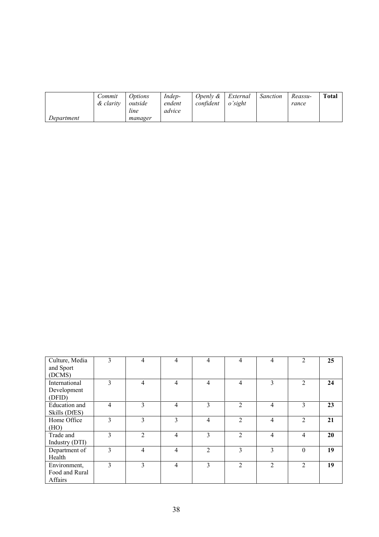|            | Commit<br>& clarity | <i>Options</i><br>outside<br>line | Indep-<br>endent<br>advice | Openly $\&$<br>confident | External<br>o'sight | <b>Sanction</b> | Reassu-<br>rance | <b>Total</b> |
|------------|---------------------|-----------------------------------|----------------------------|--------------------------|---------------------|-----------------|------------------|--------------|
| Department |                     | manager                           |                            |                          |                     |                 |                  |              |

| Culture, Media<br>and Sport<br>(DCMS)     | 3              | 4              | 4 | 4 | 4              | 4              | 2              | 25 |
|-------------------------------------------|----------------|----------------|---|---|----------------|----------------|----------------|----|
| International<br>Development<br>(DFID)    | 3              | 4              | 4 | 4 | $\overline{4}$ | 3              | $\overline{2}$ | 24 |
| Education and<br>Skills (DfES)            | $\overline{4}$ | 3              | 4 | 3 | $\mathfrak{D}$ | 4              | 3              | 23 |
| Home Office<br>(HO)                       | 3              | 3              | 3 | 4 | $\overline{2}$ | 4              | $\overline{2}$ | 21 |
| Trade and<br>Industry (DTI)               | 3              | $\overline{2}$ | 4 | 3 | $\overline{2}$ | 4              | 4              | 20 |
| Department of<br>Health                   | 3              | $\overline{4}$ | 4 | 2 | 3              | 3              | $\theta$       | 19 |
| Environment,<br>Food and Rural<br>Affairs | 3              | 3              | 4 | 3 | $\mathfrak{D}$ | $\mathfrak{D}$ | $\overline{2}$ | 19 |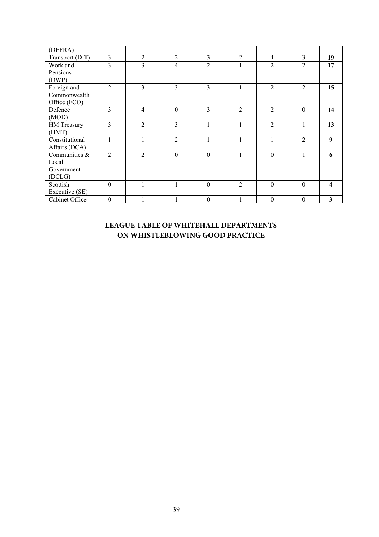| (DEFRA)         |                |                |                |                |                |                |                             |                         |
|-----------------|----------------|----------------|----------------|----------------|----------------|----------------|-----------------------------|-------------------------|
| Transport (DfT) | 3              | $\overline{2}$ | $\overline{2}$ | $\overline{3}$ | $\overline{2}$ | 4              | $\mathfrak{Z}$              | 19                      |
| Work and        | 3              | 3              | $\overline{4}$ | $\overline{2}$ |                | $\overline{2}$ | $\overline{2}$              | 17                      |
| Pensions        |                |                |                |                |                |                |                             |                         |
| (DWP)           |                |                |                |                |                |                |                             |                         |
| Foreign and     | $\overline{2}$ | 3              | 3              | 3              | Ι.             | $\overline{2}$ | 2                           | 15                      |
| Commonwealth    |                |                |                |                |                |                |                             |                         |
| Office (FCO)    |                |                |                |                |                |                |                             |                         |
| Defence         | 3              | $\overline{4}$ | $\Omega$       | 3              | $\mathfrak{D}$ | $\overline{2}$ | $\Omega$                    | 14                      |
| (MOD)           |                |                |                |                |                |                |                             |                         |
| HM Treasury     | 3              | $\overline{2}$ | 3              |                |                | $\overline{2}$ |                             | 13                      |
| (HMT)           |                |                |                |                |                |                |                             |                         |
| Constitutional  | 1              | $\mathbf{1}$   | $\overline{2}$ |                |                |                | $\mathcal{D}_{\mathcal{L}}$ | 9                       |
| Affairs (DCA)   |                |                |                |                |                |                |                             |                         |
| Communities &   | $\overline{2}$ | $\overline{2}$ | $\theta$       | $\theta$       |                | $\theta$       |                             | 6                       |
| Local           |                |                |                |                |                |                |                             |                         |
| Government      |                |                |                |                |                |                |                             |                         |
| (DCLG)          |                |                |                |                |                |                |                             |                         |
| Scottish        | $\theta$       |                |                | $\theta$       | $\overline{2}$ | $\Omega$       | $\theta$                    | $\overline{\mathbf{4}}$ |
| Executive (SE)  |                |                |                |                |                |                |                             |                         |
| Cabinet Office  | $\theta$       |                |                | $\theta$       |                | $\Omega$       | $\theta$                    | 3                       |

# **LEAGUE TABLE OF WHITEHALL DEPARTMENTS ON WHISTLEBLOWING GOOD PRACTICE**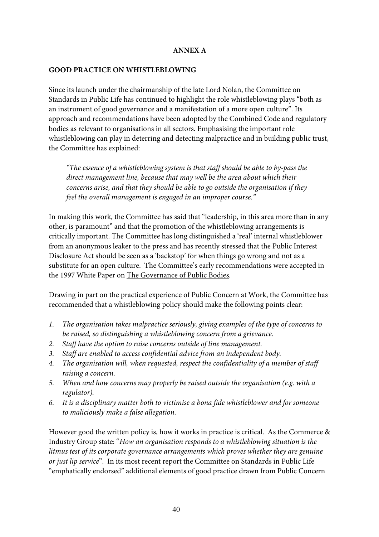#### **ANNEX A**

#### **GOOD PRACTICE ON WHISTLEBLOWING**

Since its launch under the chairmanship of the late Lord Nolan, the Committee on Standards in Public Life has continued to highlight the role whistleblowing plays "both as an instrument of good governance and a manifestation of a more open culture". Its approach and recommendations have been adopted by the Combined Code and regulatory bodies as relevant to organisations in all sectors. Emphasising the important role whistleblowing can play in deterring and detecting malpractice and in building public trust, the Committee has explained:

*"The essence of a whistleblowing system is that staff should be able to by-pass the direct management line, because that may well be the area about which their concerns arise, and that they should be able to go outside the organisation if they feel the overall management is engaged in an improper course."* 

In making this work, the Committee has said that "leadership, in this area more than in any other, is paramount" and that the promotion of the whistleblowing arrangements is critically important. The Committee has long distinguished a 'real' internal whistleblower from an anonymous leaker to the press and has recently stressed that the Public Interest Disclosure Act should be seen as a 'backstop' for when things go wrong and not as a substitute for an open culture. The Committee's early recommendations were accepted in the 1997 White Paper on The Governance of Public Bodies*.*

Drawing in part on the practical experience of Public Concern at Work, the Committee has recommended that a whistleblowing policy should make the following points clear:

- *1. The organisation takes malpractice seriously, giving examples of the type of concerns to be raised, so distinguishing a whistleblowing concern from a grievance.*
- *2. Staff have the option to raise concerns outside of line management.*
- *3. Staff are enabled to access confidential advice from an independent body.*
- *4. The organisation will, when requested, respect the confidentiality of a member of staff raising a concern.*
- *5. When and how concerns may properly be raised outside the organisation (e.g. with a regulator).*
- *6. It is a disciplinary matter both to victimise a bona fide whistleblower and for someone to maliciously make a false allegation.*

However good the written policy is, how it works in practice is critical. As the Commerce & Industry Group state: "*How an organisation responds to a whistleblowing situation is the litmus test of its corporate governance arrangements which proves whether they are genuine or just lip service*". In its most recent report the Committee on Standards in Public Life "emphatically endorsed" additional elements of good practice drawn from Public Concern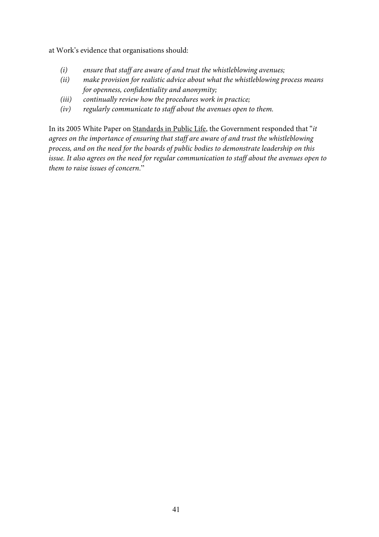at Work's evidence that organisations should:

- *(i) ensure that staff are aware of and trust the whistleblowing avenues;*
- *(ii) make provision for realistic advice about what the whistleblowing process means for openness, confidentiality and anonymity;*
- *(iii) continually review how the procedures work in practice;*
- *(iv) regularly communicate to staff about the avenues open to them.*

In its 2005 White Paper on Standards in Public Life, the Government responded that "*it agrees on the importance of ensuring that staff are aware of and trust the whistleblowing process, and on the need for the boards of public bodies to demonstrate leadership on this issue. It also agrees on the need for regular communication to staff about the avenues open to them to raise issues of concern*."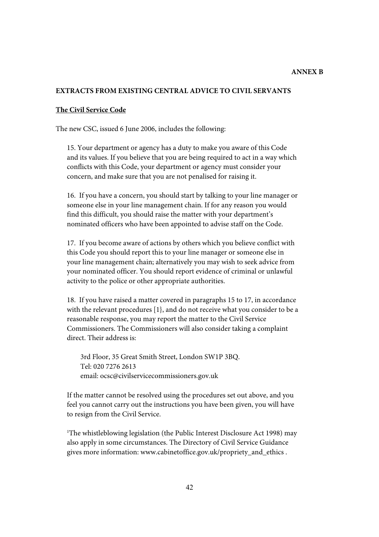#### **ANNEX B**

#### **EXTRACTS FROM EXISTING CENTRAL ADVICE TO CIVIL SERVANTS**

#### **The Civil Service Code**

The new CSC, issued 6 June 2006, includes the following:

15. Your department or agency has a duty to make you aware of this Code and its values. If you believe that you are being required to act in a way which conflicts with this Code, your department or agency must consider your concern, and make sure that you are not penalised for raising it.

16. If you have a concern, you should start by talking to your line manager or someone else in your line management chain. If for any reason you would find this difficult, you should raise the matter with your department's nominated officers who have been appointed to advise staff on the Code.

17. If you become aware of actions by others which you believe conflict with this Code you should report this to your line manager or someone else in your line management chain; alternatively you may wish to seek advice from your nominated officer. You should report evidence of criminal or unlawful activity to the police or other appropriate authorities.

18. If you have raised a matter covered in paragraphs 15 to 17, in accordance with the relevant procedures [1}, and do not receive what you consider to be a reasonable response, you may report the matter to the Civil Service Commissioners. The Commissioners will also consider taking a complaint direct. Their address is:

 3rd Floor, 35 Great Smith Street, London SW1P 3BQ. Tel: 020 7276 2613 email: ocsc@civilservicecommissioners.gov.uk

If the matter cannot be resolved using the procedures set out above, and you feel you cannot carry out the instructions you have been given, you will have to resign from the Civil Service.

1 The whistleblowing legislation (the Public Interest Disclosure Act 1998) may also apply in some circumstances. The Directory of Civil Service Guidance gives more information: www.cabinetoffice.gov.uk/propriety\_and\_ethics .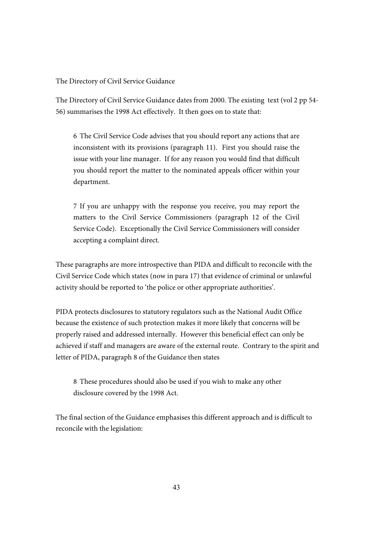The Directory of Civil Service Guidance

The Directory of Civil Service Guidance dates from 2000. The existing text (vol 2 pp 54- 56) summarises the 1998 Act effectively. It then goes on to state that:

6 The Civil Service Code advises that you should report any actions that are inconsistent with its provisions (paragraph 11). First you should raise the issue with your line manager. If for any reason you would find that difficult you should report the matter to the nominated appeals officer within your department.

7 If you are unhappy with the response you receive, you may report the matters to the Civil Service Commissioners (paragraph 12 of the Civil Service Code). Exceptionally the Civil Service Commissioners will consider accepting a complaint direct.

These paragraphs are more introspective than PIDA and difficult to reconcile with the Civil Service Code which states (now in para 17) that evidence of criminal or unlawful activity should be reported to 'the police or other appropriate authorities'.

PIDA protects disclosures to statutory regulators such as the National Audit Office because the existence of such protection makes it more likely that concerns will be properly raised and addressed internally. However this beneficial effect can only be achieved if staff and managers are aware of the external route. Contrary to the spirit and letter of PIDA, paragraph 8 of the Guidance then states

8 These procedures should also be used if you wish to make any other disclosure covered by the 1998 Act.

The final section of the Guidance emphasises this different approach and is difficult to reconcile with the legislation: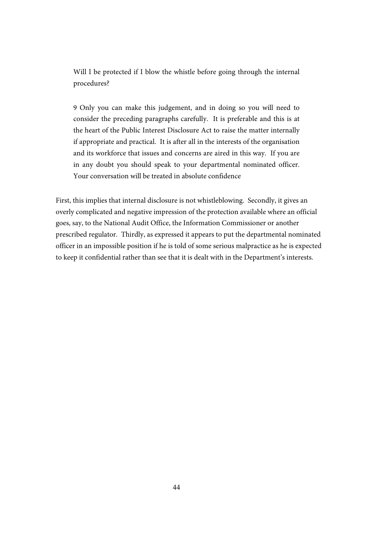Will I be protected if I blow the whistle before going through the internal procedures?

9 Only you can make this judgement, and in doing so you will need to consider the preceding paragraphs carefully. It is preferable and this is at the heart of the Public Interest Disclosure Act to raise the matter internally if appropriate and practical. It is after all in the interests of the organisation and its workforce that issues and concerns are aired in this way. If you are in any doubt you should speak to your departmental nominated officer. Your conversation will be treated in absolute confidence

First, this implies that internal disclosure is not whistleblowing. Secondly, it gives an overly complicated and negative impression of the protection available where an official goes, say, to the National Audit Office, the Information Commissioner or another prescribed regulator. Thirdly, as expressed it appears to put the departmental nominated officer in an impossible position if he is told of some serious malpractice as he is expected to keep it confidential rather than see that it is dealt with in the Department's interests.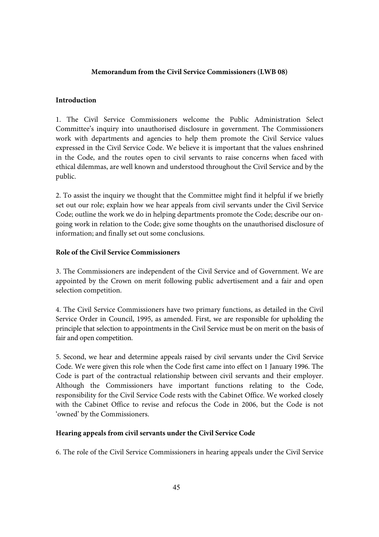#### **Memorandum from the Civil Service Commissioners (LWB 08)**

#### **Introduction**

1. The Civil Service Commissioners welcome the Public Administration Select Committee's inquiry into unauthorised disclosure in government. The Commissioners work with departments and agencies to help them promote the Civil Service values expressed in the Civil Service Code. We believe it is important that the values enshrined in the Code, and the routes open to civil servants to raise concerns when faced with ethical dilemmas, are well known and understood throughout the Civil Service and by the public.

2. To assist the inquiry we thought that the Committee might find it helpful if we briefly set out our role; explain how we hear appeals from civil servants under the Civil Service Code; outline the work we do in helping departments promote the Code; describe our ongoing work in relation to the Code; give some thoughts on the unauthorised disclosure of information; and finally set out some conclusions.

#### **Role of the Civil Service Commissioners**

3. The Commissioners are independent of the Civil Service and of Government. We are appointed by the Crown on merit following public advertisement and a fair and open selection competition.

4. The Civil Service Commissioners have two primary functions, as detailed in the Civil Service Order in Council, 1995, as amended. First, we are responsible for upholding the principle that selection to appointments in the Civil Service must be on merit on the basis of fair and open competition.

5. Second, we hear and determine appeals raised by civil servants under the Civil Service Code. We were given this role when the Code first came into effect on 1 January 1996. The Code is part of the contractual relationship between civil servants and their employer. Although the Commissioners have important functions relating to the Code, responsibility for the Civil Service Code rests with the Cabinet Office. We worked closely with the Cabinet Office to revise and refocus the Code in 2006, but the Code is not 'owned' by the Commissioners.

#### **Hearing appeals from civil servants under the Civil Service Code**

6. The role of the Civil Service Commissioners in hearing appeals under the Civil Service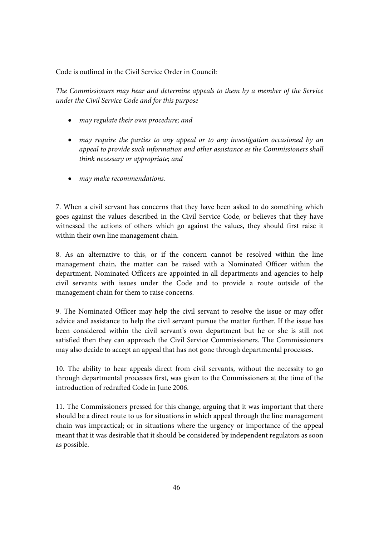Code is outlined in the Civil Service Order in Council:

*The Commissioners may hear and determine appeals to them by a member of the Service under the Civil Service Code and for this purpose* 

- *may regulate their own procedure; and*
- *may require the parties to any appeal or to any investigation occasioned by an appeal to provide such information and other assistance as the Commissioners shall think necessary or appropriate; and*
- *may make recommendations.*

7. When a civil servant has concerns that they have been asked to do something which goes against the values described in the Civil Service Code, or believes that they have witnessed the actions of others which go against the values, they should first raise it within their own line management chain.

8. As an alternative to this, or if the concern cannot be resolved within the line management chain, the matter can be raised with a Nominated Officer within the department. Nominated Officers are appointed in all departments and agencies to help civil servants with issues under the Code and to provide a route outside of the management chain for them to raise concerns.

9. The Nominated Officer may help the civil servant to resolve the issue or may offer advice and assistance to help the civil servant pursue the matter further. If the issue has been considered within the civil servant's own department but he or she is still not satisfied then they can approach the Civil Service Commissioners. The Commissioners may also decide to accept an appeal that has not gone through departmental processes.

10. The ability to hear appeals direct from civil servants, without the necessity to go through departmental processes first, was given to the Commissioners at the time of the introduction of redrafted Code in June 2006.

11. The Commissioners pressed for this change, arguing that it was important that there should be a direct route to us for situations in which appeal through the line management chain was impractical; or in situations where the urgency or importance of the appeal meant that it was desirable that it should be considered by independent regulators as soon as possible.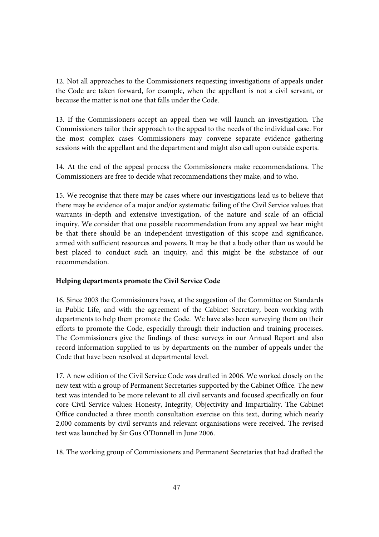12. Not all approaches to the Commissioners requesting investigations of appeals under the Code are taken forward, for example, when the appellant is not a civil servant, or because the matter is not one that falls under the Code.

13. If the Commissioners accept an appeal then we will launch an investigation. The Commissioners tailor their approach to the appeal to the needs of the individual case. For the most complex cases Commissioners may convene separate evidence gathering sessions with the appellant and the department and might also call upon outside experts.

14. At the end of the appeal process the Commissioners make recommendations. The Commissioners are free to decide what recommendations they make, and to who.

15. We recognise that there may be cases where our investigations lead us to believe that there may be evidence of a major and/or systematic failing of the Civil Service values that warrants in-depth and extensive investigation, of the nature and scale of an official inquiry. We consider that one possible recommendation from any appeal we hear might be that there should be an independent investigation of this scope and significance, armed with sufficient resources and powers. It may be that a body other than us would be best placed to conduct such an inquiry, and this might be the substance of our recommendation.

### **Helping departments promote the Civil Service Code**

16. Since 2003 the Commissioners have, at the suggestion of the Committee on Standards in Public Life, and with the agreement of the Cabinet Secretary, been working with departments to help them promote the Code. We have also been surveying them on their efforts to promote the Code, especially through their induction and training processes. The Commissioners give the findings of these surveys in our Annual Report and also record information supplied to us by departments on the number of appeals under the Code that have been resolved at departmental level.

17. A new edition of the Civil Service Code was drafted in 2006. We worked closely on the new text with a group of Permanent Secretaries supported by the Cabinet Office. The new text was intended to be more relevant to all civil servants and focused specifically on four core Civil Service values: Honesty, Integrity, Objectivity and Impartiality. The Cabinet Office conducted a three month consultation exercise on this text, during which nearly 2,000 comments by civil servants and relevant organisations were received. The revised text was launched by Sir Gus O'Donnell in June 2006.

18. The working group of Commissioners and Permanent Secretaries that had drafted the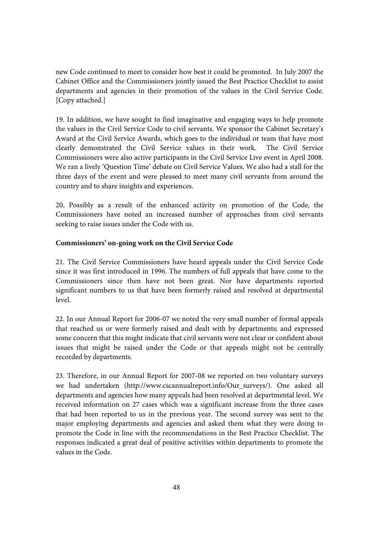new Code continued to meet to consider how best it could be promoted. In July 2007 the Cabinet Office and the Commissioners jointly issued the Best Practice Checklist to assist departments and agencies in their promotion of the values in the Civil Service Code. [Copy attached.]

19. In addition, we have sought to find imaginative and engaging ways to help promote the values in the Civil Service Code to civil servants. We sponsor the Cabinet Secretary's Award at the Civil Service Awards, which goes to the individual or team that have most clearly demonstrated the Civil Service values in their work. The Civil Service Commissioners were also active participants in the Civil Service Live event in April 2008. We ran a lively 'Question Time' debate on Civil Service Values. We also had a stall for the three days of the event and were pleased to meet many civil servants from around the country and to share insights and experiences.

20. Possibly as a result of the enhanced activity on promotion of the Code, the Commissioners have noted an increased number of approaches from civil servants seeking to raise issues under the Code with us.

#### **Commissioners' on-going work on the Civil Service Code**

21. The Civil Service Commissioners have heard appeals under the Civil Service Code since it was first introduced in 1996. The numbers of full appeals that have come to the Commissioners since then have not been great. Nor have departments reported significant numbers to us that have been formerly raised and resolved at departmental level.

22. In our Annual Report for 2006-07 we noted the very small number of formal appeals that reached us or were formerly raised and dealt with by departments; and expressed some concern that this might indicate that civil servants were not clear or confident about issues that might be raised under the Code or that appeals might not be centrally recorded by departments.

23. Therefore, in our Annual Report for 2007-08 we reported on two voluntary surveys we had undertaken (http://www.cscannualreport.info/Our\_surveys/). One asked all departments and agencies how many appeals had been resolved at departmental level. We received information on 27 cases which was a significant increase from the three cases that had been reported to us in the previous year. The second survey was sent to the major employing departments and agencies and asked them what they were doing to promote the Code in line with the recommendations in the Best Practice Checklist. The responses indicated a great deal of positive activities within departments to promote the values in the Code.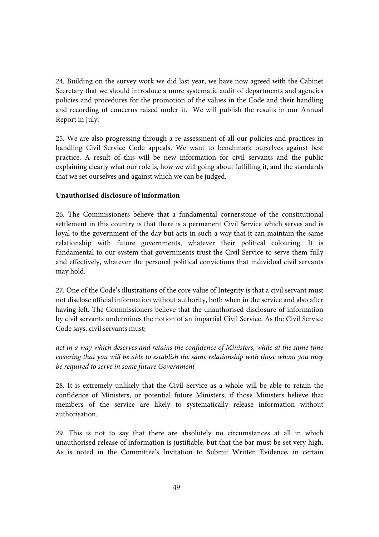24. Building on the survey work we did last year, we have now agreed with the Cabinet Secretary that we should introduce a more systematic audit of departments and agencies policies and procedures for the promotion of the values in the Code and their handling and recording of concerns raised under it. We will publish the results in our Annual Report in July.

25. We are also progressing through a re-assessment of all our policies and practices in handling Civil Service Code appeals. We want to benchmark ourselves against best practice. A result of this will be new information for civil servants and the public explaining clearly what our role is, how we will going about fulfilling it, and the standards that we set ourselves and against which we can be judged.

#### **Unauthorised disclosure of information**

26. The Commissioners believe that a fundamental cornerstone of the constitutional settlement in this country is that there is a permanent Civil Service which serves and is loyal to the government of the day but acts in such a way that it can maintain the same relationship with future governments, whatever their political colouring. It is fundamental to our system that governments trust the Civil Service to serve them fully and effectively, whatever the personal political convictions that individual civil servants may hold.

27. One of the Code's illustrations of the core value of Integrity is that a civil servant must not disclose official information without authority, both when in the service and also after having left. The Commissioners believe that the unauthorised disclosure of information by civil servants undermines the notion of an impartial Civil Service. As the Civil Service Code says, civil servants must;

*act in a way which deserves and retains the confidence of Ministers, while at the same time ensuring that you will be able to establish the same relationship with those whom you may be required to serve in some future Government* 

28. It is extremely unlikely that the Civil Service as a whole will be able to retain the confidence of Ministers, or potential future Ministers, if those Ministers believe that members of the service are likely to systematically release information without authorisation.

29. This is not to say that there are absolutely no circumstances at all in which unauthorised release of information is justifiable, but that the bar must be set very high. As is noted in the Committee's Invitation to Submit Written Evidence, in certain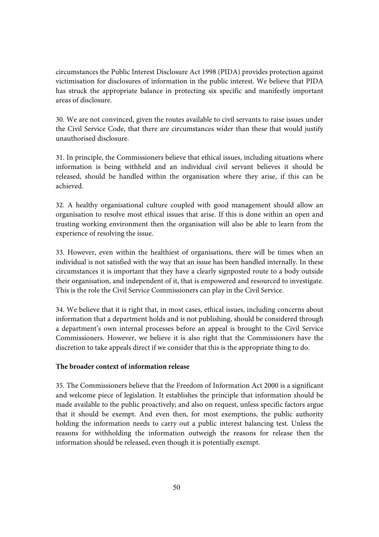circumstances the Public Interest Disclosure Act 1998 (PIDA) provides protection against victimisation for disclosures of information in the public interest. We believe that PIDA has struck the appropriate balance in protecting six specific and manifestly important areas of disclosure.

30. We are not convinced, given the routes available to civil servants to raise issues under the Civil Service Code, that there are circumstances wider than these that would justify unauthorised disclosure.

31. In principle, the Commissioners believe that ethical issues, including situations where information is being withheld and an individual civil servant believes it should be released, should be handled within the organisation where they arise, if this can be achieved.

32. A healthy organisational culture coupled with good management should allow an organisation to resolve most ethical issues that arise. If this is done within an open and trusting working environment then the organisation will also be able to learn from the experience of resolving the issue.

33. However, even within the healthiest of organisations, there will be times when an individual is not satisfied with the way that an issue has been handled internally. In these circumstances it is important that they have a clearly signposted route to a body outside their organisation, and independent of it, that is empowered and resourced to investigate. This is the role the Civil Service Commissioners can play in the Civil Service.

34. We believe that it is right that, in most cases, ethical issues, including concerns about information that a department holds and is not publishing, should be considered through a department's own internal processes before an appeal is brought to the Civil Service Commissioners. However, we believe it is also right that the Commissioners have the discretion to take appeals direct if we consider that this is the appropriate thing to do.

#### **The broader context of information release**

35. The Commissioners believe that the Freedom of Information Act 2000 is a significant and welcome piece of legislation. It establishes the principle that information should be made available to the public proactively; and also on request, unless specific factors argue that it should be exempt. And even then, for most exemptions, the public authority holding the information needs to carry out a public interest balancing test. Unless the reasons for withholding the information outweigh the reasons for release then the information should be released, even though it is potentially exempt.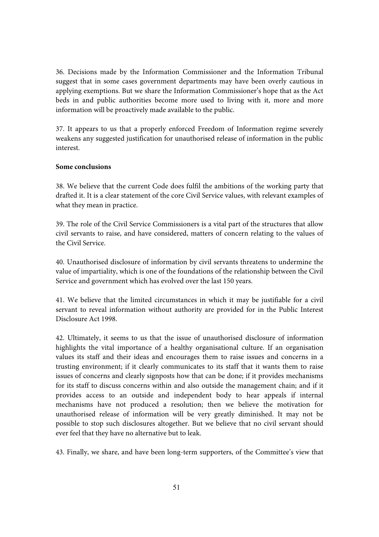36. Decisions made by the Information Commissioner and the Information Tribunal suggest that in some cases government departments may have been overly cautious in applying exemptions. But we share the Information Commissioner's hope that as the Act beds in and public authorities become more used to living with it, more and more information will be proactively made available to the public.

37. It appears to us that a properly enforced Freedom of Information regime severely weakens any suggested justification for unauthorised release of information in the public interest.

#### **Some conclusions**

38. We believe that the current Code does fulfil the ambitions of the working party that drafted it. It is a clear statement of the core Civil Service values, with relevant examples of what they mean in practice.

39. The role of the Civil Service Commissioners is a vital part of the structures that allow civil servants to raise, and have considered, matters of concern relating to the values of the Civil Service.

40. Unauthorised disclosure of information by civil servants threatens to undermine the value of impartiality, which is one of the foundations of the relationship between the Civil Service and government which has evolved over the last 150 years.

41. We believe that the limited circumstances in which it may be justifiable for a civil servant to reveal information without authority are provided for in the Public Interest Disclosure Act 1998.

42. Ultimately, it seems to us that the issue of unauthorised disclosure of information highlights the vital importance of a healthy organisational culture. If an organisation values its staff and their ideas and encourages them to raise issues and concerns in a trusting environment; if it clearly communicates to its staff that it wants them to raise issues of concerns and clearly signposts how that can be done; if it provides mechanisms for its staff to discuss concerns within and also outside the management chain; and if it provides access to an outside and independent body to hear appeals if internal mechanisms have not produced a resolution; then we believe the motivation for unauthorised release of information will be very greatly diminished. It may not be possible to stop such disclosures altogether. But we believe that no civil servant should ever feel that they have no alternative but to leak.

43. Finally, we share, and have been long-term supporters, of the Committee's view that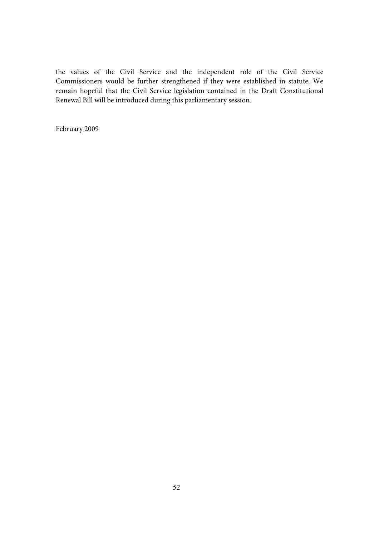the values of the Civil Service and the independent role of the Civil Service Commissioners would be further strengthened if they were established in statute. We remain hopeful that the Civil Service legislation contained in the Draft Constitutional Renewal Bill will be introduced during this parliamentary session.

February 2009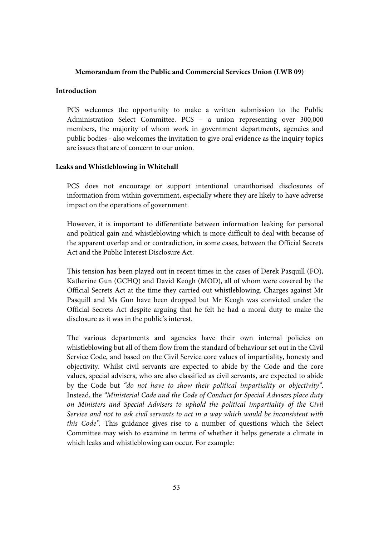#### **Memorandum from the Public and Commercial Services Union (LWB 09)**

#### **Introduction**

PCS welcomes the opportunity to make a written submission to the Public Administration Select Committee. PCS – a union representing over 300,000 members, the majority of whom work in government departments, agencies and public bodies - also welcomes the invitation to give oral evidence as the inquiry topics are issues that are of concern to our union.

#### **Leaks and Whistleblowing in Whitehall**

PCS does not encourage or support intentional unauthorised disclosures of information from within government, especially where they are likely to have adverse impact on the operations of government.

However, it is important to differentiate between information leaking for personal and political gain and whistleblowing which is more difficult to deal with because of the apparent overlap and or contradiction, in some cases, between the Official Secrets Act and the Public Interest Disclosure Act.

This tension has been played out in recent times in the cases of Derek Pasquill (FO), Katherine Gun (GCHQ) and David Keogh (MOD), all of whom were covered by the Official Secrets Act at the time they carried out whistleblowing. Charges against Mr Pasquill and Ms Gun have been dropped but Mr Keogh was convicted under the Official Secrets Act despite arguing that he felt he had a moral duty to make the disclosure as it was in the public's interest.

The various departments and agencies have their own internal policies on whistleblowing but all of them flow from the standard of behaviour set out in the Civil Service Code, and based on the Civil Service core values of impartiality, honesty and objectivity. Whilst civil servants are expected to abide by the Code and the core values, special advisers, who are also classified as civil servants, are expected to abide by the Code but *"do not have to show their political impartiality or objectivity"*. Instead, the *"Ministerial Code and the Code of Conduct for Special Advisers place duty on Ministers and Special Advisers to uphold the political impartiality of the Civil Service and not to ask civil servants to act in a way which would be inconsistent with this Code".* This guidance gives rise to a number of questions which the Select Committee may wish to examine in terms of whether it helps generate a climate in which leaks and whistleblowing can occur. For example: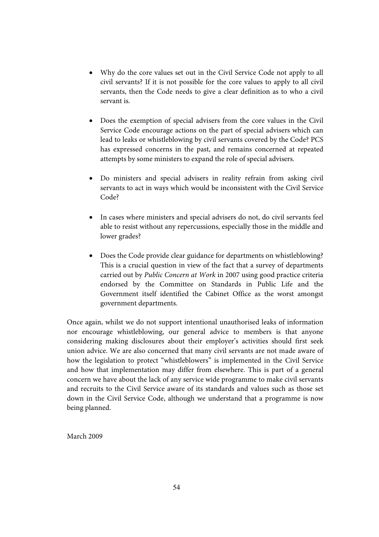- Why do the core values set out in the Civil Service Code not apply to all civil servants? If it is not possible for the core values to apply to all civil servants, then the Code needs to give a clear definition as to who a civil servant is.
- Does the exemption of special advisers from the core values in the Civil Service Code encourage actions on the part of special advisers which can lead to leaks or whistleblowing by civil servants covered by the Code? PCS has expressed concerns in the past, and remains concerned at repeated attempts by some ministers to expand the role of special advisers.
- Do ministers and special advisers in reality refrain from asking civil servants to act in ways which would be inconsistent with the Civil Service Code?
- In cases where ministers and special advisers do not, do civil servants feel able to resist without any repercussions, especially those in the middle and lower grades?
- Does the Code provide clear guidance for departments on whistleblowing? This is a crucial question in view of the fact that a survey of departments carried out by *Public Concern at Work* in 2007 using good practice criteria endorsed by the Committee on Standards in Public Life and the Government itself identified the Cabinet Office as the worst amongst government departments.

Once again, whilst we do not support intentional unauthorised leaks of information nor encourage whistleblowing, our general advice to members is that anyone considering making disclosures about their employer's activities should first seek union advice. We are also concerned that many civil servants are not made aware of how the legislation to protect "whistleblowers" is implemented in the Civil Service and how that implementation may differ from elsewhere. This is part of a general concern we have about the lack of any service wide programme to make civil servants and recruits to the Civil Service aware of its standards and values such as those set down in the Civil Service Code, although we understand that a programme is now being planned.

March 2009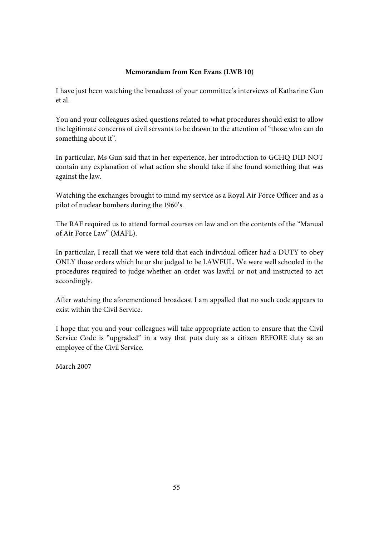#### **Memorandum from Ken Evans (LWB 10)**

I have just been watching the broadcast of your committee's interviews of Katharine Gun et al.

You and your colleagues asked questions related to what procedures should exist to allow the legitimate concerns of civil servants to be drawn to the attention of "those who can do something about it".

In particular, Ms Gun said that in her experience, her introduction to GCHQ DID NOT contain any explanation of what action she should take if she found something that was against the law.

Watching the exchanges brought to mind my service as a Royal Air Force Officer and as a pilot of nuclear bombers during the 1960's.

The RAF required us to attend formal courses on law and on the contents of the "Manual of Air Force Law" (MAFL).

In particular, I recall that we were told that each individual officer had a DUTY to obey ONLY those orders which he or she judged to be LAWFUL. We were well schooled in the procedures required to judge whether an order was lawful or not and instructed to act accordingly.

After watching the aforementioned broadcast I am appalled that no such code appears to exist within the Civil Service.

I hope that you and your colleagues will take appropriate action to ensure that the Civil Service Code is "upgraded" in a way that puts duty as a citizen BEFORE duty as an employee of the Civil Service.

March 2007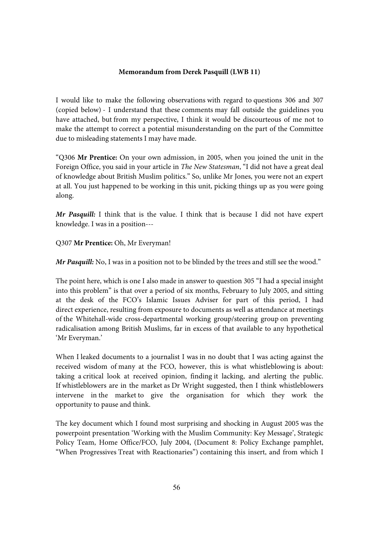#### **Memorandum from Derek Pasquill (LWB 11)**

I would like to make the following observations with regard to questions 306 and 307 (copied below) - I understand that these comments may fall outside the guidelines you have attached, but from my perspective, I think it would be discourteous of me not to make the attempt to correct a potential misunderstanding on the part of the Committee due to misleading statements I may have made.

"Q306 **Mr Prentice:** On your own admission, in 2005, when you joined the unit in the Foreign Office, you said in your article in *The New Statesman*, "I did not have a great deal of knowledge about British Muslim politics." So, unlike Mr Jones, you were not an expert at all. You just happened to be working in this unit, picking things up as you were going along.

*Mr Pasquill:* I think that is the value. I think that is because I did not have expert knowledge. I was in a position---

Q307 **Mr Prentice:** Oh, Mr Everyman!

*Mr Pasquill:* No, I was in a position not to be blinded by the trees and still see the wood."

The point here, which is one I also made in answer to question 305 "I had a special insight into this problem" is that over a period of six months, February to July 2005, and sitting at the desk of the FCO's Islamic Issues Adviser for part of this period, I had direct experience, resulting from exposure to documents as well as attendance at meetings of the Whitehall-wide cross-departmental working group/steering group on preventing radicalisation among British Muslims, far in excess of that available to any hypothetical 'Mr Everyman.'

When I leaked documents to a journalist I was in no doubt that I was acting against the received wisdom of many at the FCO, however, this is what whistleblowing is about: taking a critical look at received opinion, finding it lacking, and alerting the public. If whistleblowers are in the market as Dr Wright suggested, then I think whistleblowers intervene in the market to give the organisation for which they work the opportunity to pause and think.

The key document which I found most surprising and shocking in August 2005 was the powerpoint presentation 'Working with the Muslim Community: Key Message', Strategic Policy Team, Home Office/FCO, July 2004, (Document 8: Policy Exchange pamphlet, "When Progressives Treat with Reactionaries") containing this insert, and from which I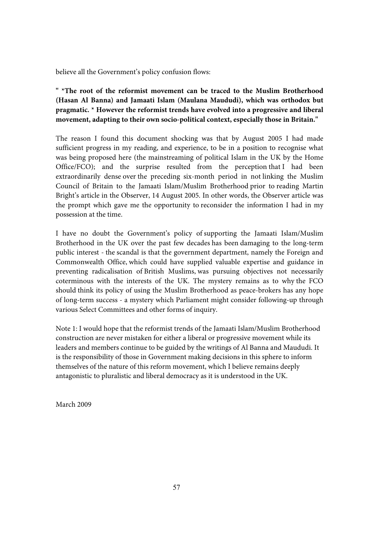believe all the Government's policy confusion flows:

**" \*The root of the reformist movement can be traced to the Muslim Brotherhood (Hasan Al Banna) and Jamaati Islam (Maulana Maududi), which was orthodox but pragmatic. \* However the reformist trends have evolved into a progressive and liberal movement, adapting to their own socio-political context, especially those in Britain."** 

The reason I found this document shocking was that by August 2005 I had made sufficient progress in my reading, and experience, to be in a position to recognise what was being proposed here (the mainstreaming of political Islam in the UK by the Home Office/FCO); and the surprise resulted from the perception that I had been extraordinarily dense over the preceding six-month period in not linking the Muslim Council of Britain to the Jamaati Islam/Muslim Brotherhood prior to reading Martin Bright's article in the Observer, 14 August 2005. In other words, the Observer article was the prompt which gave me the opportunity to reconsider the information I had in my possession at the time.

I have no doubt the Government's policy of supporting the Jamaati Islam/Muslim Brotherhood in the UK over the past few decades has been damaging to the long-term public interest - the scandal is that the government department, namely the Foreign and Commonwealth Office, which could have supplied valuable expertise and guidance in preventing radicalisation of British Muslims, was pursuing objectives not necessarily coterminous with the interests of the UK. The mystery remains as to why the FCO should think its policy of using the Muslim Brotherhood as peace-brokers has any hope of long-term success - a mystery which Parliament might consider following-up through various Select Committees and other forms of inquiry.

Note 1: I would hope that the reformist trends of the Jamaati Islam/Muslim Brotherhood construction are never mistaken for either a liberal or progressive movement while its leaders and members continue to be guided by the writings of Al Banna and Maududi. It is the responsibility of those in Government making decisions in this sphere to inform themselves of the nature of this reform movement, which I believe remains deeply antagonistic to pluralistic and liberal democracy as it is understood in the UK.

March 2009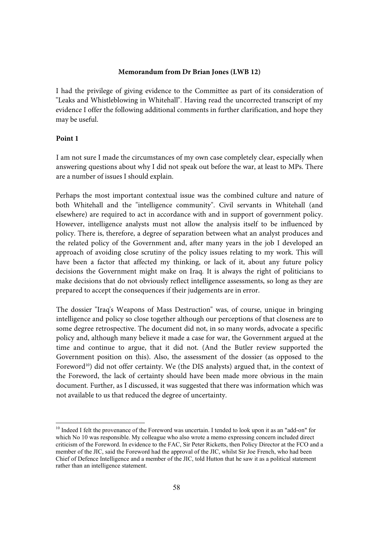#### **Memorandum from Dr Brian Jones (LWB 12)**

I had the privilege of giving evidence to the Committee as part of its consideration of "Leaks and Whistleblowing in Whitehall". Having read the uncorrected transcript of my evidence I offer the following additional comments in further clarification, and hope they may be useful.

#### **Point 1**

I am not sure I made the circumstances of my own case completely clear, especially when answering questions about why I did not speak out before the war, at least to MPs. There are a number of issues I should explain.

Perhaps the most important contextual issue was the combined culture and nature of both Whitehall and the "intelligence community". Civil servants in Whitehall (and elsewhere) are required to act in accordance with and in support of government policy. However, intelligence analysts must not allow the analysis itself to be influenced by policy. There is, therefore, a degree of separation between what an analyst produces and the related policy of the Government and, after many years in the job I developed an approach of avoiding close scrutiny of the policy issues relating to my work. This will have been a factor that affected my thinking, or lack of it, about any future policy decisions the Government might make on Iraq. It is always the right of politicians to make decisions that do not obviously reflect intelligence assessments, so long as they are prepared to accept the consequences if their judgements are in error.

The dossier "Iraq's Weapons of Mass Destruction" was, of course, unique in bringing intelligence and policy so close together although our perceptions of that closeness are to some degree retrospective. The document did not, in so many words, advocate a specific policy and, although many believe it made a case for war, the Government argued at the time and continue to argue, that it did not. (And the Butler review supported the Government position on this). Also, the assessment of the dossier (as opposed to the Foreword<sup>10</sup>) did not offer certainty. We (the DIS analysts) argued that, in the context of the Foreword, the lack of certainty should have been made more obvious in the main document. Further, as I discussed, it was suggested that there was information which was not available to us that reduced the degree of uncertainty.

<sup>&</sup>lt;sup>10</sup> Indeed I felt the provenance of the Foreword was uncertain. I tended to look upon it as an "add-on" for which No 10 was responsible. My colleague who also wrote a memo expressing concern included direct criticism of the Foreword. In evidence to the FAC, Sir Peter Ricketts, then Policy Director at the FCO and a member of the JIC, said the Foreword had the approval of the JIC, whilst Sir Joe French, who had been Chief of Defence Intelligence and a member of the JIC, told Hutton that he saw it as a political statement rather than an intelligence statement.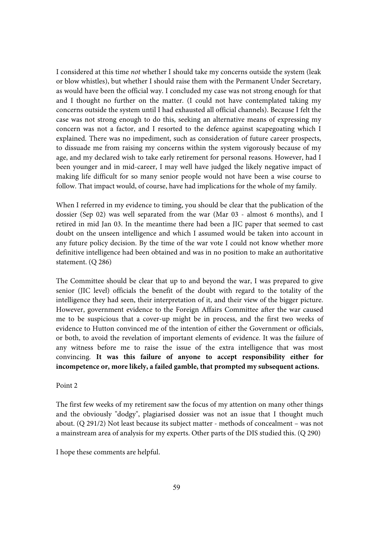I considered at this time *not* whether I should take my concerns outside the system (leak or blow whistles), but whether I should raise them with the Permanent Under Secretary, as would have been the official way. I concluded my case was not strong enough for that and I thought no further on the matter. (I could not have contemplated taking my concerns outside the system until I had exhausted all official channels). Because I felt the case was not strong enough to do this, seeking an alternative means of expressing my concern was not a factor, and I resorted to the defence against scapegoating which I explained. There was no impediment, such as consideration of future career prospects, to dissuade me from raising my concerns within the system vigorously because of my age, and my declared wish to take early retirement for personal reasons. However, had I been younger and in mid-career, I may well have judged the likely negative impact of making life difficult for so many senior people would not have been a wise course to follow. That impact would, of course, have had implications for the whole of my family.

When I referred in my evidence to timing, you should be clear that the publication of the dossier (Sep 02) was well separated from the war (Mar 03 - almost 6 months), and I retired in mid Jan 03. In the meantime there had been a JIC paper that seemed to cast doubt on the unseen intelligence and which I assumed would be taken into account in any future policy decision. By the time of the war vote I could not know whether more definitive intelligence had been obtained and was in no position to make an authoritative statement. (Q 286)

The Committee should be clear that up to and beyond the war, I was prepared to give senior (JIC level) officials the benefit of the doubt with regard to the totality of the intelligence they had seen, their interpretation of it, and their view of the bigger picture. However, government evidence to the Foreign Affairs Committee after the war caused me to be suspicious that a cover-up might be in process, and the first two weeks of evidence to Hutton convinced me of the intention of either the Government or officials, or both, to avoid the revelation of important elements of evidence. It was the failure of any witness before me to raise the issue of the extra intelligence that was most convincing. **It was this failure of anyone to accept responsibility either for incompetence or, more likely, a failed gamble, that prompted my subsequent actions.** 

#### Point 2

The first few weeks of my retirement saw the focus of my attention on many other things and the obviously "dodgy", plagiarised dossier was not an issue that I thought much about. (Q 291/2) Not least because its subject matter - methods of concealment – was not a mainstream area of analysis for my experts. Other parts of the DIS studied this. (Q 290)

I hope these comments are helpful.